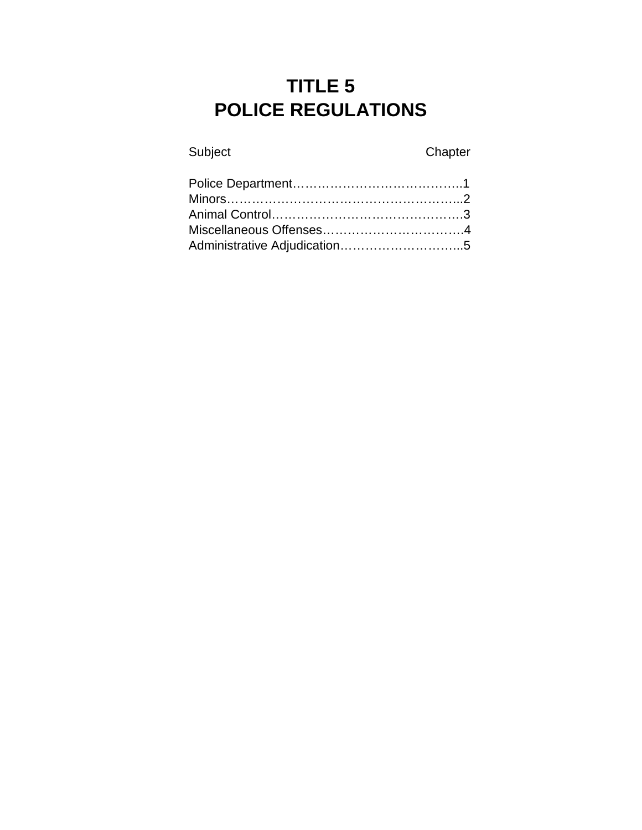# **TITLE 5 POLICE REGULATIONS**

Subject Chapter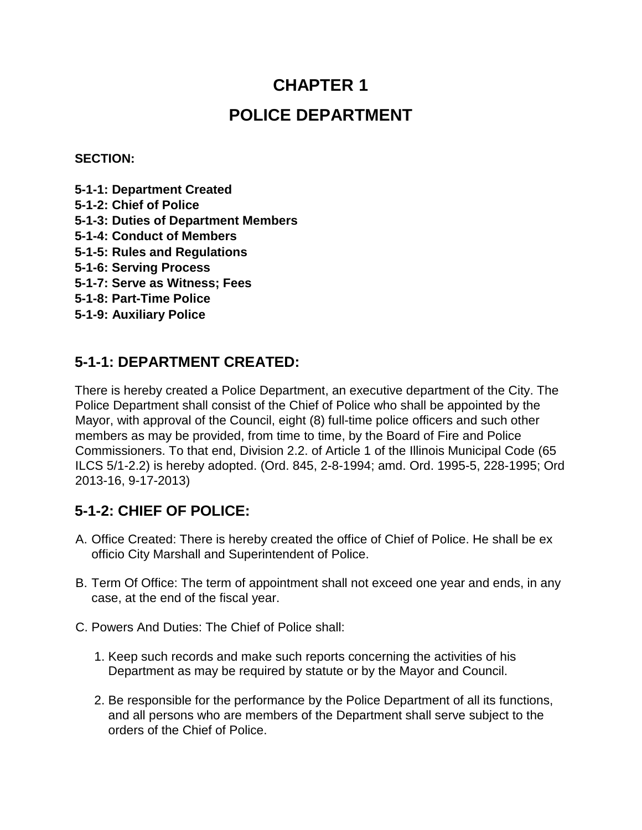# **CHAPTER 1 POLICE DEPARTMENT**

#### **SECTION:**

- **5-1-1: Department Created**
- **5-1-2: Chief of Police**
- **5-1-3: Duties of Department Members**
- **5-1-4: Conduct of Members**
- **5-1-5: Rules and Regulations**
- **5-1-6: Serving Process**
- **5-1-7: Serve as Witness; Fees**
- **5-1-8: Part-Time Police**
- **5-1-9: Auxiliary Police**

### **5-1-1: DEPARTMENT CREATED:**

There is hereby created a Police Department, an executive department of the City. The Police Department shall consist of the Chief of Police who shall be appointed by the Mayor, with approval of the Council, eight (8) full-time police officers and such other members as may be provided, from time to time, by the Board of Fire and Police Commissioners. To that end, Division 2.2. of Article 1 of the Illinois Municipal Code (65 ILCS 5/1-2.2) is hereby adopted. (Ord. 845, 2-8-1994; amd. Ord. 1995-5, 228-1995; Ord 2013-16, 9-17-2013)

#### **5-1-2: CHIEF OF POLICE:**

- A. Office Created: There is hereby created the office of Chief of Police. He shall be ex officio City Marshall and Superintendent of Police.
- B. Term Of Office: The term of appointment shall not exceed one year and ends, in any case, at the end of the fiscal year.
- C. Powers And Duties: The Chief of Police shall:
	- 1. Keep such records and make such reports concerning the activities of his Department as may be required by statute or by the Mayor and Council.
	- 2. Be responsible for the performance by the Police Department of all its functions, and all persons who are members of the Department shall serve subject to the orders of the Chief of Police.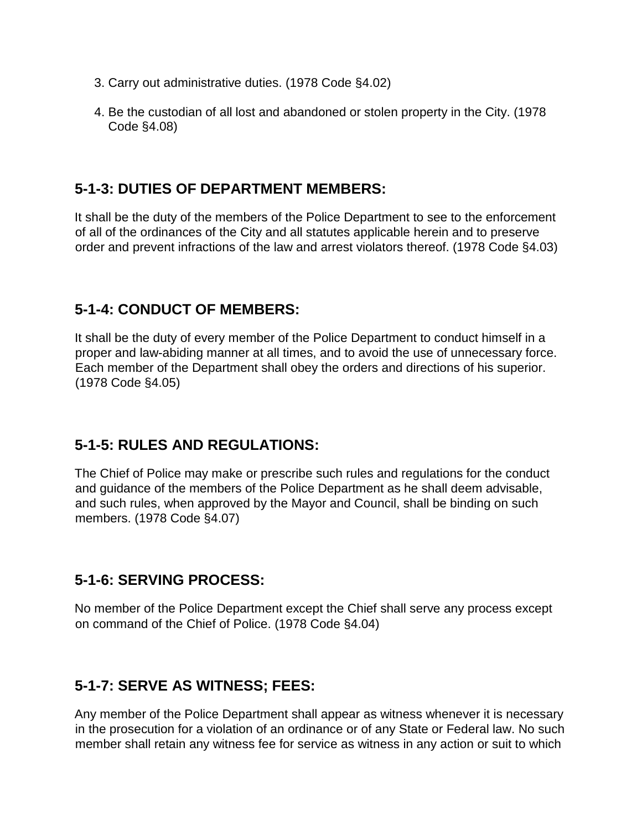- 3. Carry out administrative duties. (1978 Code §4.02)
- 4. Be the custodian of all lost and abandoned or stolen property in the City. (1978 Code §4.08)

#### **5-1-3: DUTIES OF DEPARTMENT MEMBERS:**

It shall be the duty of the members of the Police Department to see to the enforcement of all of the ordinances of the City and all statutes applicable herein and to preserve order and prevent infractions of the law and arrest violators thereof. (1978 Code §4.03)

#### **5-1-4: CONDUCT OF MEMBERS:**

It shall be the duty of every member of the Police Department to conduct himself in a proper and law-abiding manner at all times, and to avoid the use of unnecessary force. Each member of the Department shall obey the orders and directions of his superior. (1978 Code §4.05)

#### **5-1-5: RULES AND REGULATIONS:**

The Chief of Police may make or prescribe such rules and regulations for the conduct and guidance of the members of the Police Department as he shall deem advisable, and such rules, when approved by the Mayor and Council, shall be binding on such members. (1978 Code §4.07)

#### **5-1-6: SERVING PROCESS:**

No member of the Police Department except the Chief shall serve any process except on command of the Chief of Police. (1978 Code §4.04)

#### **5-1-7: SERVE AS WITNESS; FEES:**

Any member of the Police Department shall appear as witness whenever it is necessary in the prosecution for a violation of an ordinance or of any State or Federal law. No such member shall retain any witness fee for service as witness in any action or suit to which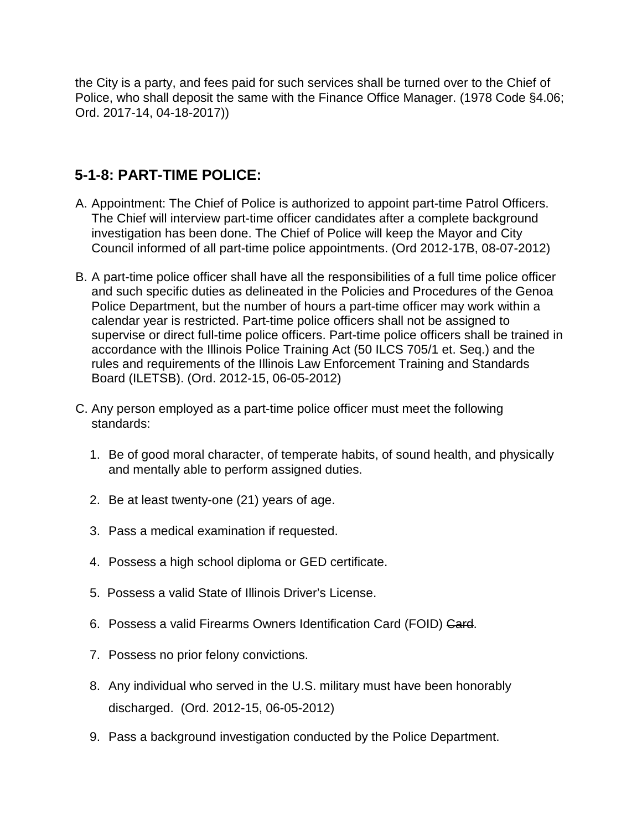the City is a party, and fees paid for such services shall be turned over to the Chief of Police, who shall deposit the same with the Finance Office Manager. (1978 Code §4.06; Ord. 2017-14, 04-18-2017))

### **5-1-8: PART-TIME POLICE:**

- A. Appointment: The Chief of Police is authorized to appoint part-time Patrol Officers. The Chief will interview part-time officer candidates after a complete background investigation has been done. The Chief of Police will keep the Mayor and City Council informed of all part-time police appointments. (Ord 2012-17B, 08-07-2012)
- B. A part-time police officer shall have all the responsibilities of a full time police officer and such specific duties as delineated in the Policies and Procedures of the Genoa Police Department, but the number of hours a part-time officer may work within a calendar year is restricted. Part-time police officers shall not be assigned to supervise or direct full-time police officers. Part-time police officers shall be trained in accordance with the Illinois Police Training Act (50 ILCS 705/1 et. Seq.) and the rules and requirements of the Illinois Law Enforcement Training and Standards Board (ILETSB). (Ord. 2012-15, 06-05-2012)
- C. Any person employed as a part-time police officer must meet the following standards:
	- 1. Be of good moral character, of temperate habits, of sound health, and physically and mentally able to perform assigned duties.
	- 2. Be at least twenty-one (21) years of age.
	- 3. Pass a medical examination if requested.
	- 4. Possess a high school diploma or GED certificate.
	- 5. Possess a valid State of Illinois Driver's License.
	- 6. Possess a valid Firearms Owners Identification Card (FOID) Card.
	- 7. Possess no prior felony convictions.
	- 8. Any individual who served in the U.S. military must have been honorably discharged. (Ord. 2012-15, 06-05-2012)
	- 9. Pass a background investigation conducted by the Police Department.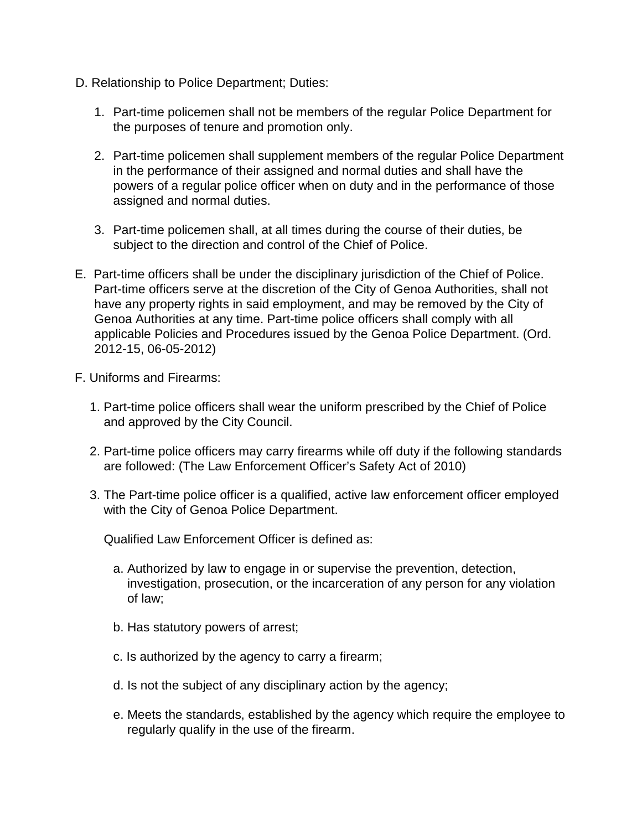- D. Relationship to Police Department; Duties:
	- 1. Part-time policemen shall not be members of the regular Police Department for the purposes of tenure and promotion only.
	- 2. Part-time policemen shall supplement members of the regular Police Department in the performance of their assigned and normal duties and shall have the powers of a regular police officer when on duty and in the performance of those assigned and normal duties.
	- 3. Part-time policemen shall, at all times during the course of their duties, be subject to the direction and control of the Chief of Police.
- E. Part-time officers shall be under the disciplinary jurisdiction of the Chief of Police. Part-time officers serve at the discretion of the City of Genoa Authorities, shall not have any property rights in said employment, and may be removed by the City of Genoa Authorities at any time. Part-time police officers shall comply with all applicable Policies and Procedures issued by the Genoa Police Department. (Ord. 2012-15, 06-05-2012)
- F. Uniforms and Firearms:
	- 1. Part-time police officers shall wear the uniform prescribed by the Chief of Police and approved by the City Council.
	- 2. Part-time police officers may carry firearms while off duty if the following standards are followed: (The Law Enforcement Officer's Safety Act of 2010)
	- 3. The Part-time police officer is a qualified, active law enforcement officer employed with the City of Genoa Police Department.

Qualified Law Enforcement Officer is defined as:

- a. Authorized by law to engage in or supervise the prevention, detection, investigation, prosecution, or the incarceration of any person for any violation of law;
- b. Has statutory powers of arrest;
- c. Is authorized by the agency to carry a firearm;
- d. Is not the subject of any disciplinary action by the agency;
- e. Meets the standards, established by the agency which require the employee to regularly qualify in the use of the firearm.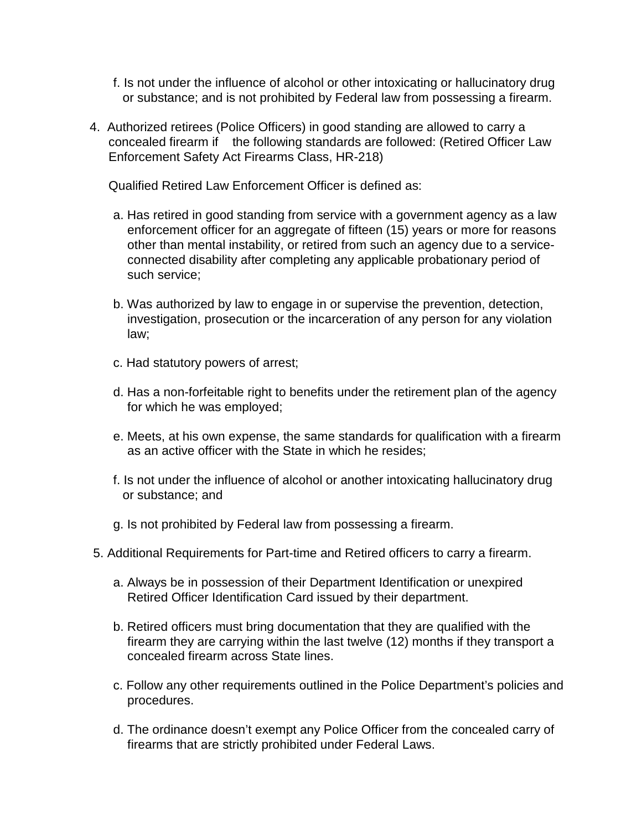- f. Is not under the influence of alcohol or other intoxicating or hallucinatory drug or substance; and is not prohibited by Federal law from possessing a firearm.
- 4. Authorized retirees (Police Officers) in good standing are allowed to carry a concealed firearm if the following standards are followed: (Retired Officer Law Enforcement Safety Act Firearms Class, HR-218)

Qualified Retired Law Enforcement Officer is defined as:

- a. Has retired in good standing from service with a government agency as a law enforcement officer for an aggregate of fifteen (15) years or more for reasons other than mental instability, or retired from such an agency due to a serviceconnected disability after completing any applicable probationary period of such service;
- b. Was authorized by law to engage in or supervise the prevention, detection, investigation, prosecution or the incarceration of any person for any violation law;
- c. Had statutory powers of arrest;
- d. Has a non-forfeitable right to benefits under the retirement plan of the agency for which he was employed;
- e. Meets, at his own expense, the same standards for qualification with a firearm as an active officer with the State in which he resides;
- f. Is not under the influence of alcohol or another intoxicating hallucinatory drug or substance; and
- g. Is not prohibited by Federal law from possessing a firearm.
- 5. Additional Requirements for Part-time and Retired officers to carry a firearm.
	- a. Always be in possession of their Department Identification or unexpired Retired Officer Identification Card issued by their department.
	- b. Retired officers must bring documentation that they are qualified with the firearm they are carrying within the last twelve (12) months if they transport a concealed firearm across State lines.
	- c. Follow any other requirements outlined in the Police Department's policies and procedures.
	- d. The ordinance doesn't exempt any Police Officer from the concealed carry of firearms that are strictly prohibited under Federal Laws.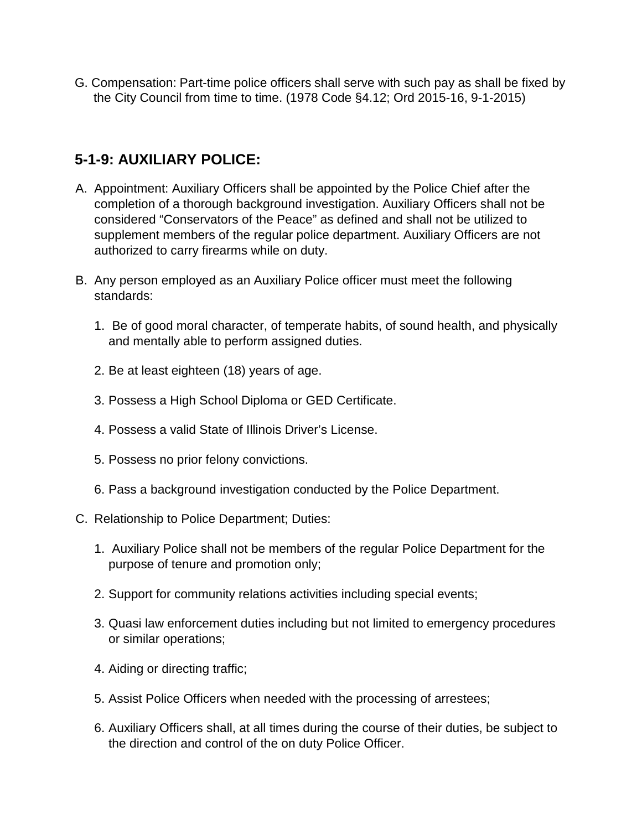G. Compensation: Part-time police officers shall serve with such pay as shall be fixed by the City Council from time to time. (1978 Code §4.12; Ord 2015-16, 9-1-2015)

### **5-1-9: AUXILIARY POLICE:**

- A. Appointment: Auxiliary Officers shall be appointed by the Police Chief after the completion of a thorough background investigation. Auxiliary Officers shall not be considered "Conservators of the Peace" as defined and shall not be utilized to supplement members of the regular police department. Auxiliary Officers are not authorized to carry firearms while on duty.
- B. Any person employed as an Auxiliary Police officer must meet the following standards:
	- 1. Be of good moral character, of temperate habits, of sound health, and physically and mentally able to perform assigned duties.
	- 2. Be at least eighteen (18) years of age.
	- 3. Possess a High School Diploma or GED Certificate.
	- 4. Possess a valid State of Illinois Driver's License.
	- 5. Possess no prior felony convictions.
	- 6. Pass a background investigation conducted by the Police Department.
- C. Relationship to Police Department; Duties:
	- 1. Auxiliary Police shall not be members of the regular Police Department for the purpose of tenure and promotion only;
	- 2. Support for community relations activities including special events;
	- 3. Quasi law enforcement duties including but not limited to emergency procedures or similar operations;
	- 4. Aiding or directing traffic;
	- 5. Assist Police Officers when needed with the processing of arrestees;
	- 6. Auxiliary Officers shall, at all times during the course of their duties, be subject to the direction and control of the on duty Police Officer.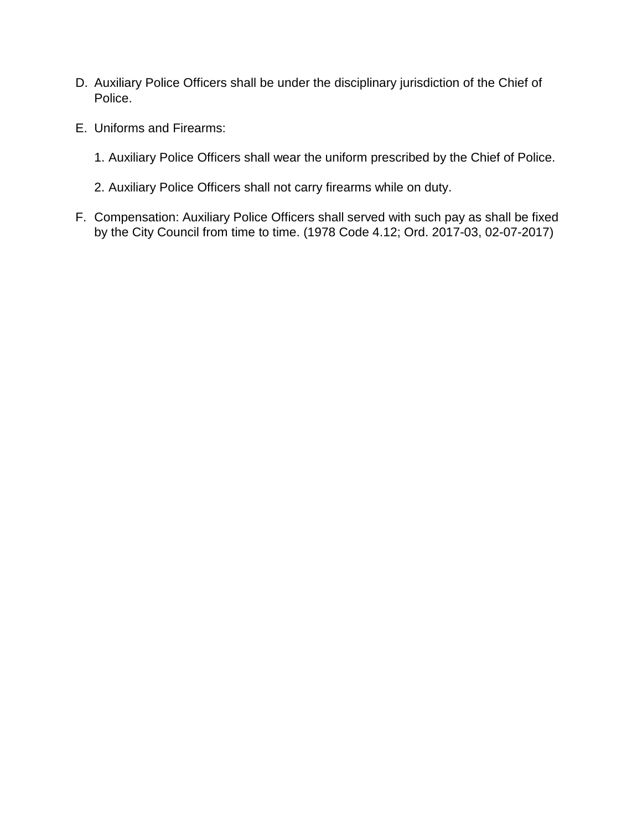- D. Auxiliary Police Officers shall be under the disciplinary jurisdiction of the Chief of Police.
- E. Uniforms and Firearms:
	- 1. Auxiliary Police Officers shall wear the uniform prescribed by the Chief of Police.
	- 2. Auxiliary Police Officers shall not carry firearms while on duty.
- F. Compensation: Auxiliary Police Officers shall served with such pay as shall be fixed by the City Council from time to time. (1978 Code 4.12; Ord. 2017-03, 02-07-2017)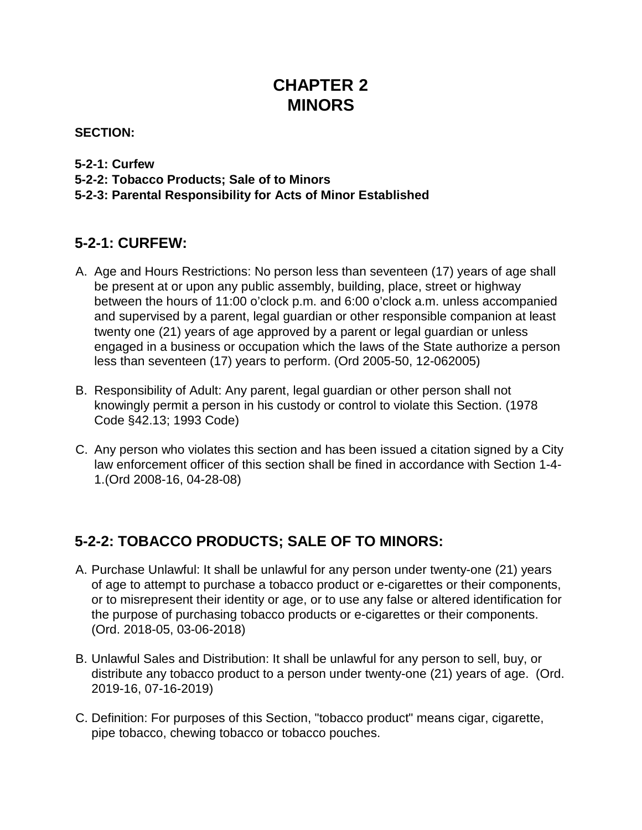## **CHAPTER 2 MINORS**

#### **SECTION:**

#### **5-2-1: Curfew**

**5-2-2: Tobacco Products; Sale of to Minors** 

#### **5-2-3: Parental Responsibility for Acts of Minor Established**

### **5-2-1: CURFEW:**

- A. Age and Hours Restrictions: No person less than seventeen (17) years of age shall be present at or upon any public assembly, building, place, street or highway between the hours of 11:00 o'clock p.m. and 6:00 o'clock a.m. unless accompanied and supervised by a parent, legal guardian or other responsible companion at least twenty one (21) years of age approved by a parent or legal guardian or unless engaged in a business or occupation which the laws of the State authorize a person less than seventeen (17) years to perform. (Ord 2005-50, 12-062005)
- B. Responsibility of Adult: Any parent, legal guardian or other person shall not knowingly permit a person in his custody or control to violate this Section. (1978 Code §42.13; 1993 Code)
- C. Any person who violates this section and has been issued a citation signed by a City law enforcement officer of this section shall be fined in accordance with Section 1-4- 1.(Ord 2008-16, 04-28-08)

### **5-2-2: TOBACCO PRODUCTS; SALE OF TO MINORS:**

- A. Purchase Unlawful: It shall be unlawful for any person under twenty-one (21) years of age to attempt to purchase a tobacco product or e-cigarettes or their components, or to misrepresent their identity or age, or to use any false or altered identification for the purpose of purchasing tobacco products or e-cigarettes or their components. (Ord. 2018-05, 03-06-2018)
- B. Unlawful Sales and Distribution: It shall be unlawful for any person to sell, buy, or distribute any tobacco product to a person under twenty-one (21) years of age. (Ord. 2019-16, 07-16-2019)
- C. Definition: For purposes of this Section, "tobacco product" means cigar, cigarette, pipe tobacco, chewing tobacco or tobacco pouches.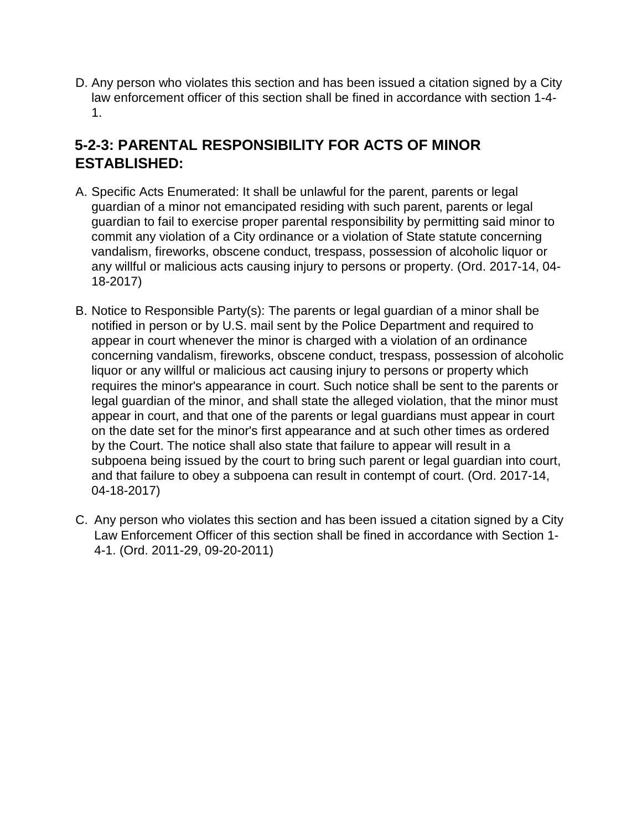D. Any person who violates this section and has been issued a citation signed by a City law enforcement officer of this section shall be fined in accordance with section 1-4- 1.

### **5-2-3: PARENTAL RESPONSIBILITY FOR ACTS OF MINOR ESTABLISHED:**

- A. Specific Acts Enumerated: It shall be unlawful for the parent, parents or legal guardian of a minor not emancipated residing with such parent, parents or legal guardian to fail to exercise proper parental responsibility by permitting said minor to commit any violation of a City ordinance or a violation of State statute concerning vandalism, fireworks, obscene conduct, trespass, possession of alcoholic liquor or any willful or malicious acts causing injury to persons or property. (Ord. 2017-14, 04- 18-2017)
- B. Notice to Responsible Party(s): The parents or legal guardian of a minor shall be notified in person or by U.S. mail sent by the Police Department and required to appear in court whenever the minor is charged with a violation of an ordinance concerning vandalism, fireworks, obscene conduct, trespass, possession of alcoholic liquor or any willful or malicious act causing injury to persons or property which requires the minor's appearance in court. Such notice shall be sent to the parents or legal guardian of the minor, and shall state the alleged violation, that the minor must appear in court, and that one of the parents or legal guardians must appear in court on the date set for the minor's first appearance and at such other times as ordered by the Court. The notice shall also state that failure to appear will result in a subpoena being issued by the court to bring such parent or legal guardian into court, and that failure to obey a subpoena can result in contempt of court. (Ord. 2017-14, 04-18-2017)
- C. Any person who violates this section and has been issued a citation signed by a City Law Enforcement Officer of this section shall be fined in accordance with Section 1- 4-1. (Ord. 2011-29, 09-20-2011)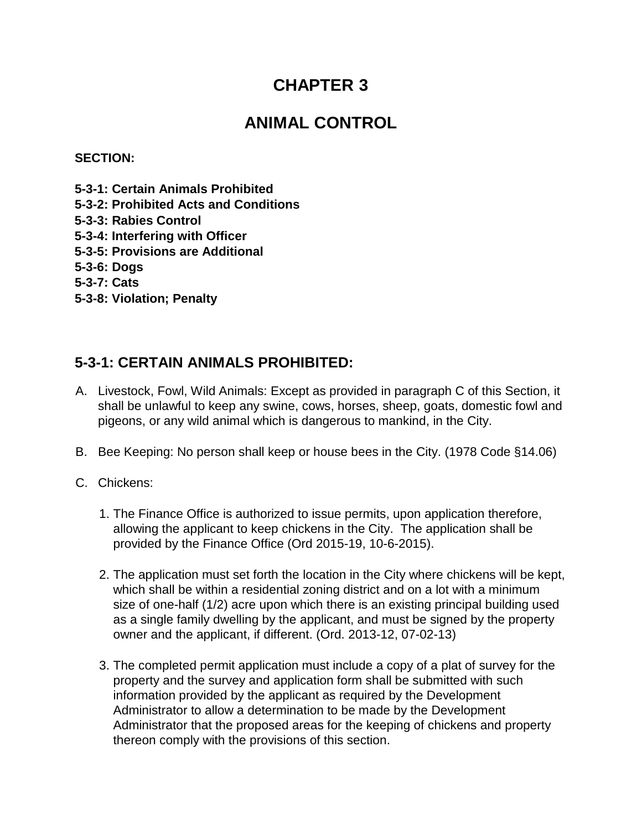### **CHAPTER 3**

### **ANIMAL CONTROL**

#### **SECTION:**

- **5-3-1: Certain Animals Prohibited**
- **5-3-2: Prohibited Acts and Conditions**
- **5-3-3: Rabies Control**
- **5-3-4: Interfering with Officer**
- **5-3-5: Provisions are Additional**
- **5-3-6: Dogs**
- **5-3-7: Cats**
- **5-3-8: Violation; Penalty**

### **5-3-1: CERTAIN ANIMALS PROHIBITED:**

- A. Livestock, Fowl, Wild Animals: Except as provided in paragraph C of this Section, it shall be unlawful to keep any swine, cows, horses, sheep, goats, domestic fowl and pigeons, or any wild animal which is dangerous to mankind, in the City.
- B. Bee Keeping: No person shall keep or house bees in the City. (1978 Code §14.06)
- C. Chickens:
	- 1. The Finance Office is authorized to issue permits, upon application therefore, allowing the applicant to keep chickens in the City. The application shall be provided by the Finance Office (Ord 2015-19, 10-6-2015).
	- 2. The application must set forth the location in the City where chickens will be kept, which shall be within a residential zoning district and on a lot with a minimum size of one-half (1/2) acre upon which there is an existing principal building used as a single family dwelling by the applicant, and must be signed by the property owner and the applicant, if different. (Ord. 2013-12, 07-02-13)
	- 3. The completed permit application must include a copy of a plat of survey for the property and the survey and application form shall be submitted with such information provided by the applicant as required by the Development Administrator to allow a determination to be made by the Development Administrator that the proposed areas for the keeping of chickens and property thereon comply with the provisions of this section.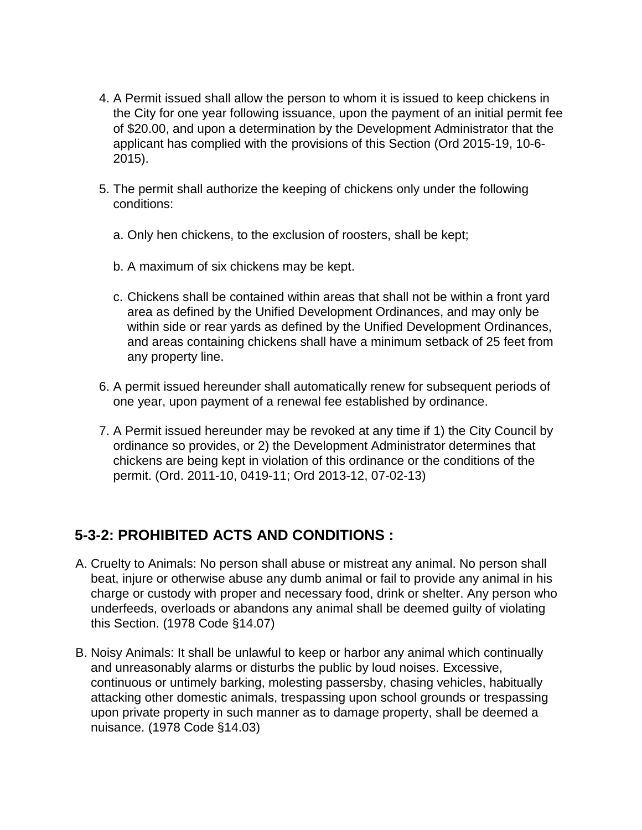- 4. A Permit issued shall allow the person to whom it is issued to keep chickens in the City for one year following issuance, upon the payment of an initial permit fee of \$20.00, and upon a determination by the Development Administrator that the applicant has complied with the provisions of this Section (Ord 2015-19, 10-6- 2015).
- 5. The permit shall authorize the keeping of chickens only under the following conditions:
	- a. Only hen chickens, to the exclusion of roosters, shall be kept;
	- b. A maximum of six chickens may be kept.
	- c. Chickens shall be contained within areas that shall not be within a front yard area as defined by the Unified Development Ordinances, and may only be within side or rear yards as defined by the Unified Development Ordinances, and areas containing chickens shall have a minimum setback of 25 feet from any property line.
- 6. A permit issued hereunder shall automatically renew for subsequent periods of one year, upon payment of a renewal fee established by ordinance.
- 7. A Permit issued hereunder may be revoked at any time if 1) the City Council by ordinance so provides, or 2) the Development Administrator determines that chickens are being kept in violation of this ordinance or the conditions of the permit. (Ord. 2011-10, 0419-11; Ord 2013-12, 07-02-13)

### **5-3-2: PROHIBITED ACTS AND CONDITIONS :**

- A. Cruelty to Animals: No person shall abuse or mistreat any animal. No person shall beat, injure or otherwise abuse any dumb animal or fail to provide any animal in his charge or custody with proper and necessary food, drink or shelter. Any person who underfeeds, overloads or abandons any animal shall be deemed guilty of violating this Section. (1978 Code §14.07)
- B. Noisy Animals: It shall be unlawful to keep or harbor any animal which continually and unreasonably alarms or disturbs the public by loud noises. Excessive, continuous or untimely barking, molesting passersby, chasing vehicles, habitually attacking other domestic animals, trespassing upon school grounds or trespassing upon private property in such manner as to damage property, shall be deemed a nuisance. (1978 Code §14.03)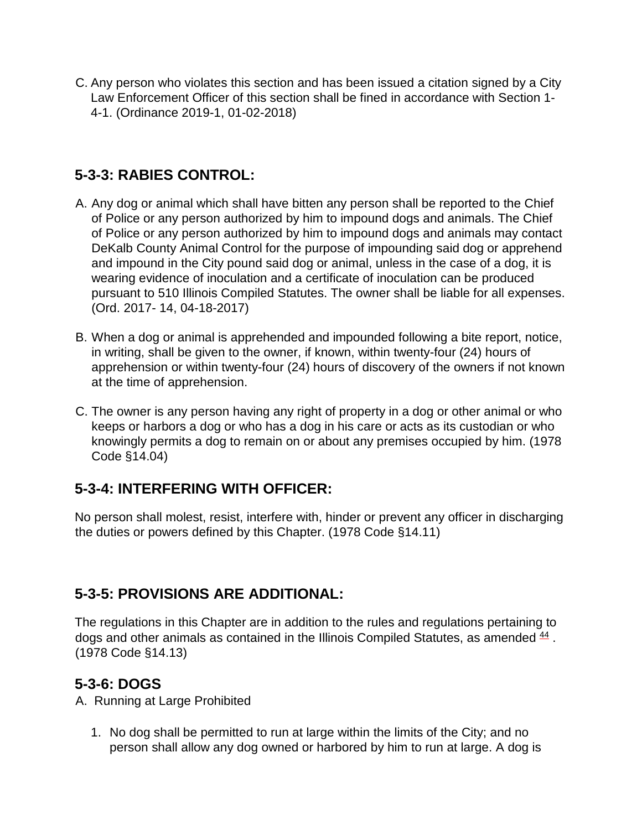C. Any person who violates this section and has been issued a citation signed by a City Law Enforcement Officer of this section shall be fined in accordance with Section 1- 4-1. (Ordinance 2019-1, 01-02-2018)

### **5-3-3: RABIES CONTROL:**

- A. Any dog or animal which shall have bitten any person shall be reported to the Chief of Police or any person authorized by him to impound dogs and animals. The Chief of Police or any person authorized by him to impound dogs and animals may contact DeKalb County Animal Control for the purpose of impounding said dog or apprehend and impound in the City pound said dog or animal, unless in the case of a dog, it is wearing evidence of inoculation and a certificate of inoculation can be produced pursuant to 510 Illinois Compiled Statutes. The owner shall be liable for all expenses. (Ord. 2017- 14, 04-18-2017)
- B. When a dog or animal is apprehended and impounded following a bite report, notice, in writing, shall be given to the owner, if known, within twenty-four (24) hours of apprehension or within twenty-four (24) hours of discovery of the owners if not known at the time of apprehension.
- C. The owner is any person having any right of property in a dog or other animal or who keeps or harbors a dog or who has a dog in his care or acts as its custodian or who knowingly permits a dog to remain on or about any premises occupied by him. (1978 Code §14.04)

### **5-3-4: INTERFERING WITH OFFICER:**

No person shall molest, resist, interfere with, hinder or prevent any officer in discharging the duties or powers defined by this Chapter. (1978 Code §14.11)

### **5-3-5: PROVISIONS ARE ADDITIONAL:**

The regulations in this Chapter are in addition to the rules and regulations pertaining to dogs and other animals as contained in the Illinois Compiled Statutes, as amended  $44$ . (1978 Code §14.13)

### **5-3-6: DOGS**

A. Running at Large Prohibited

1. No dog shall be permitted to run at large within the limits of the City; and no person shall allow any dog owned or harbored by him to run at large. A dog is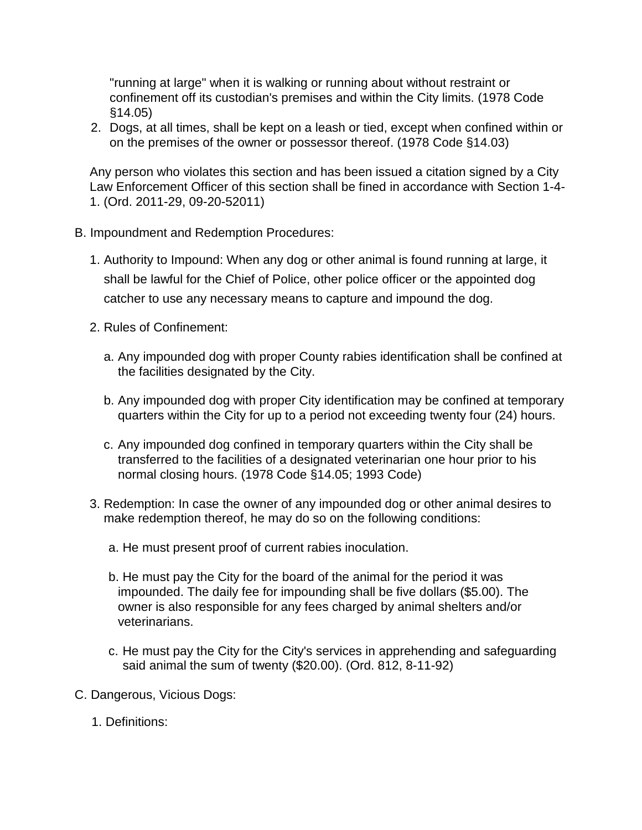"running at large" when it is walking or running about without restraint or confinement off its custodian's premises and within the City limits. (1978 Code §14.05)

2. Dogs, at all times, shall be kept on a leash or tied, except when confined within or on the premises of the owner or possessor thereof. (1978 Code §14.03)

Any person who violates this section and has been issued a citation signed by a City Law Enforcement Officer of this section shall be fined in accordance with Section 1-4- 1. (Ord. 2011-29, 09-20-52011)

- B. Impoundment and Redemption Procedures:
	- 1. Authority to Impound: When any dog or other animal is found running at large, it shall be lawful for the Chief of Police, other police officer or the appointed dog catcher to use any necessary means to capture and impound the dog.
	- 2. Rules of Confinement:
		- a. Any impounded dog with proper County rabies identification shall be confined at the facilities designated by the City.
		- b. Any impounded dog with proper City identification may be confined at temporary quarters within the City for up to a period not exceeding twenty four (24) hours.
		- c. Any impounded dog confined in temporary quarters within the City shall be transferred to the facilities of a designated veterinarian one hour prior to his normal closing hours. (1978 Code §14.05; 1993 Code)
	- 3. Redemption: In case the owner of any impounded dog or other animal desires to make redemption thereof, he may do so on the following conditions:
		- a. He must present proof of current rabies inoculation.
		- b. He must pay the City for the board of the animal for the period it was impounded. The daily fee for impounding shall be five dollars (\$5.00). The owner is also responsible for any fees charged by animal shelters and/or veterinarians.
		- c. He must pay the City for the City's services in apprehending and safeguarding said animal the sum of twenty (\$20.00). (Ord. 812, 8-11-92)
- C. Dangerous, Vicious Dogs:
	- 1. Definitions: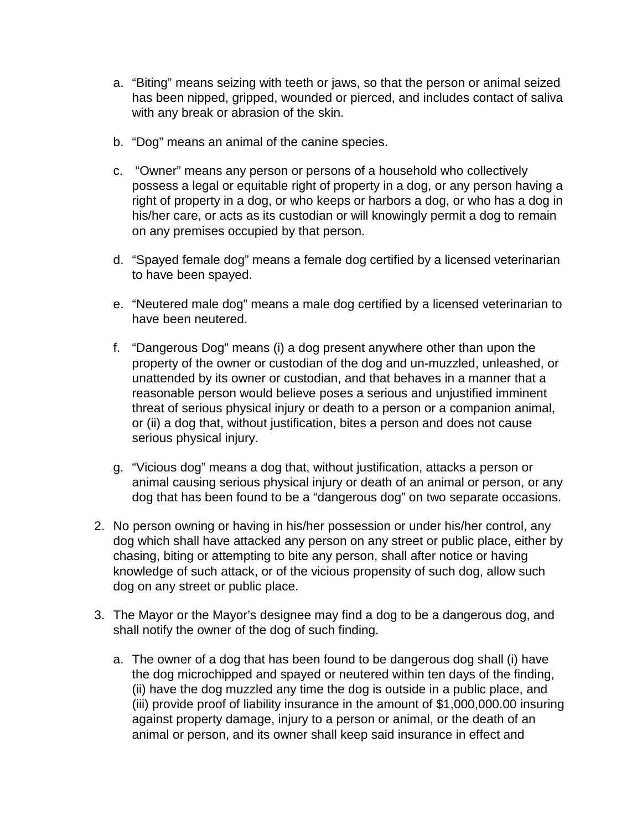- a. "Biting" means seizing with teeth or jaws, so that the person or animal seized has been nipped, gripped, wounded or pierced, and includes contact of saliva with any break or abrasion of the skin.
- b. "Dog" means an animal of the canine species.
- c. "Owner" means any person or persons of a household who collectively possess a legal or equitable right of property in a dog, or any person having a right of property in a dog, or who keeps or harbors a dog, or who has a dog in his/her care, or acts as its custodian or will knowingly permit a dog to remain on any premises occupied by that person.
- d. "Spayed female dog" means a female dog certified by a licensed veterinarian to have been spayed.
- e. "Neutered male dog" means a male dog certified by a licensed veterinarian to have been neutered.
- f. "Dangerous Dog" means (i) a dog present anywhere other than upon the property of the owner or custodian of the dog and un-muzzled, unleashed, or unattended by its owner or custodian, and that behaves in a manner that a reasonable person would believe poses a serious and unjustified imminent threat of serious physical injury or death to a person or a companion animal, or (ii) a dog that, without justification, bites a person and does not cause serious physical injury.
- g. "Vicious dog" means a dog that, without justification, attacks a person or animal causing serious physical injury or death of an animal or person, or any dog that has been found to be a "dangerous dog" on two separate occasions.
- 2. No person owning or having in his/her possession or under his/her control, any dog which shall have attacked any person on any street or public place, either by chasing, biting or attempting to bite any person, shall after notice or having knowledge of such attack, or of the vicious propensity of such dog, allow such dog on any street or public place.
- 3. The Mayor or the Mayor's designee may find a dog to be a dangerous dog, and shall notify the owner of the dog of such finding.
	- a. The owner of a dog that has been found to be dangerous dog shall (i) have the dog microchipped and spayed or neutered within ten days of the finding, (ii) have the dog muzzled any time the dog is outside in a public place, and (iii) provide proof of liability insurance in the amount of \$1,000,000.00 insuring against property damage, injury to a person or animal, or the death of an animal or person, and its owner shall keep said insurance in effect and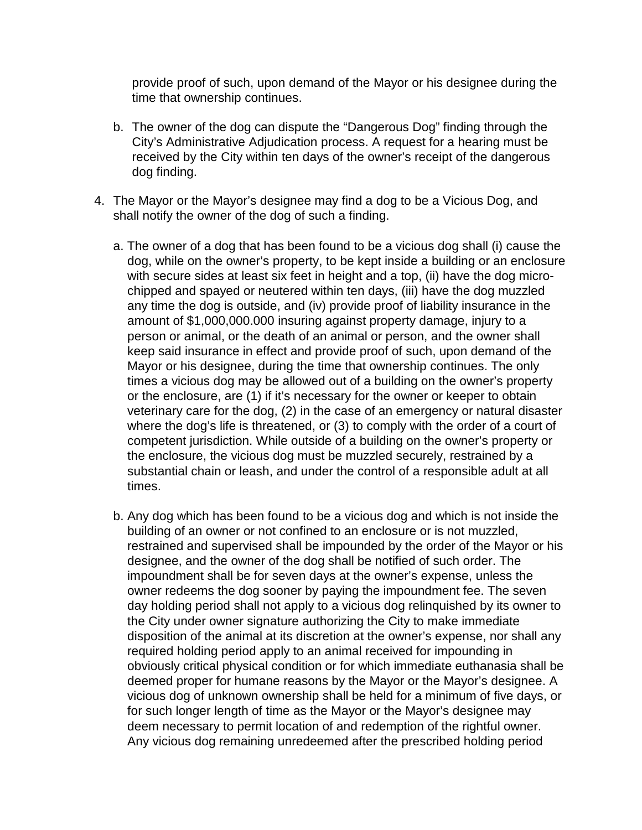provide proof of such, upon demand of the Mayor or his designee during the time that ownership continues.

- b. The owner of the dog can dispute the "Dangerous Dog" finding through the City's Administrative Adjudication process. A request for a hearing must be received by the City within ten days of the owner's receipt of the dangerous dog finding.
- 4. The Mayor or the Mayor's designee may find a dog to be a Vicious Dog, and shall notify the owner of the dog of such a finding.
	- a. The owner of a dog that has been found to be a vicious dog shall (i) cause the dog, while on the owner's property, to be kept inside a building or an enclosure with secure sides at least six feet in height and a top, (ii) have the dog microchipped and spayed or neutered within ten days, (iii) have the dog muzzled any time the dog is outside, and (iv) provide proof of liability insurance in the amount of \$1,000,000.000 insuring against property damage, injury to a person or animal, or the death of an animal or person, and the owner shall keep said insurance in effect and provide proof of such, upon demand of the Mayor or his designee, during the time that ownership continues. The only times a vicious dog may be allowed out of a building on the owner's property or the enclosure, are (1) if it's necessary for the owner or keeper to obtain veterinary care for the dog, (2) in the case of an emergency or natural disaster where the dog's life is threatened, or (3) to comply with the order of a court of competent jurisdiction. While outside of a building on the owner's property or the enclosure, the vicious dog must be muzzled securely, restrained by a substantial chain or leash, and under the control of a responsible adult at all times.
	- b. Any dog which has been found to be a vicious dog and which is not inside the building of an owner or not confined to an enclosure or is not muzzled, restrained and supervised shall be impounded by the order of the Mayor or his designee, and the owner of the dog shall be notified of such order. The impoundment shall be for seven days at the owner's expense, unless the owner redeems the dog sooner by paying the impoundment fee. The seven day holding period shall not apply to a vicious dog relinquished by its owner to the City under owner signature authorizing the City to make immediate disposition of the animal at its discretion at the owner's expense, nor shall any required holding period apply to an animal received for impounding in obviously critical physical condition or for which immediate euthanasia shall be deemed proper for humane reasons by the Mayor or the Mayor's designee. A vicious dog of unknown ownership shall be held for a minimum of five days, or for such longer length of time as the Mayor or the Mayor's designee may deem necessary to permit location of and redemption of the rightful owner. Any vicious dog remaining unredeemed after the prescribed holding period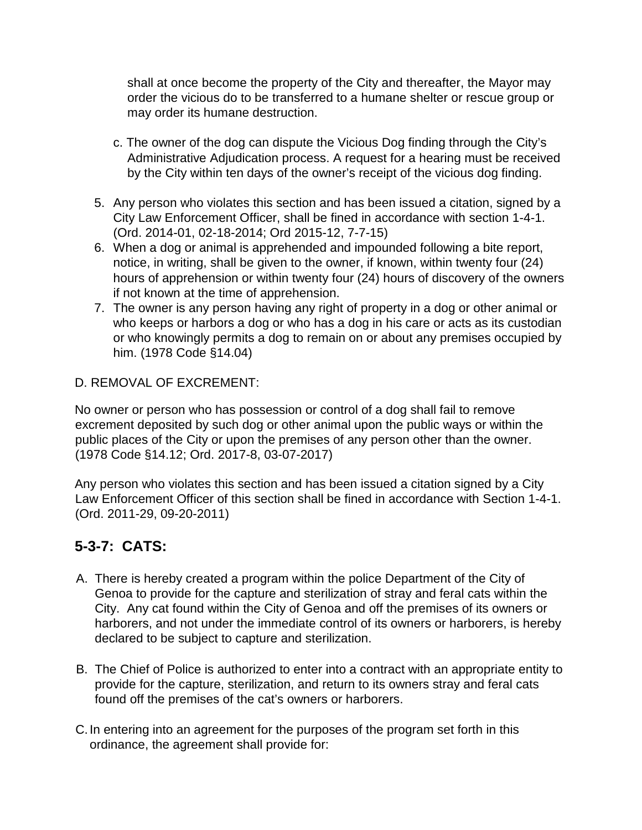shall at once become the property of the City and thereafter, the Mayor may order the vicious do to be transferred to a humane shelter or rescue group or may order its humane destruction.

- c. The owner of the dog can dispute the Vicious Dog finding through the City's Administrative Adjudication process. A request for a hearing must be received by the City within ten days of the owner's receipt of the vicious dog finding.
- 5. Any person who violates this section and has been issued a citation, signed by a City Law Enforcement Officer, shall be fined in accordance with section 1-4-1. (Ord. 2014-01, 02-18-2014; Ord 2015-12, 7-7-15)
- 6. When a dog or animal is apprehended and impounded following a bite report, notice, in writing, shall be given to the owner, if known, within twenty four (24) hours of apprehension or within twenty four (24) hours of discovery of the owners if not known at the time of apprehension.
- 7. The owner is any person having any right of property in a dog or other animal or who keeps or harbors a dog or who has a dog in his care or acts as its custodian or who knowingly permits a dog to remain on or about any premises occupied by him. (1978 Code §14.04)

D. REMOVAL OF EXCREMENT:

No owner or person who has possession or control of a dog shall fail to remove excrement deposited by such dog or other animal upon the public ways or within the public places of the City or upon the premises of any person other than the owner. (1978 Code §14.12; Ord. 2017-8, 03-07-2017)

Any person who violates this section and has been issued a citation signed by a City Law Enforcement Officer of this section shall be fined in accordance with Section 1-4-1. (Ord. 2011-29, 09-20-2011)

### **5-3-7: CATS:**

- A. There is hereby created a program within the police Department of the City of Genoa to provide for the capture and sterilization of stray and feral cats within the City. Any cat found within the City of Genoa and off the premises of its owners or harborers, and not under the immediate control of its owners or harborers, is hereby declared to be subject to capture and sterilization.
- B. The Chief of Police is authorized to enter into a contract with an appropriate entity to provide for the capture, sterilization, and return to its owners stray and feral cats found off the premises of the cat's owners or harborers.
- C.In entering into an agreement for the purposes of the program set forth in this ordinance, the agreement shall provide for: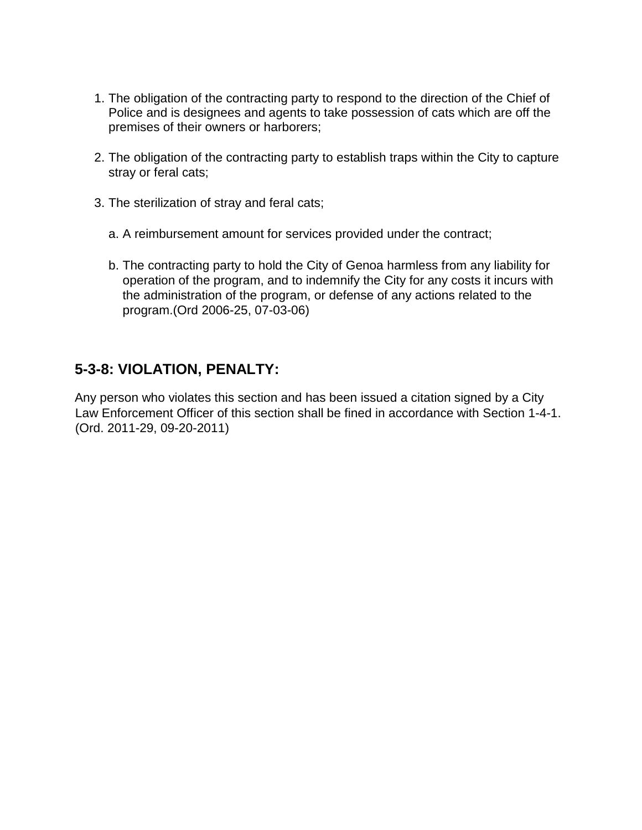- 1. The obligation of the contracting party to respond to the direction of the Chief of Police and is designees and agents to take possession of cats which are off the premises of their owners or harborers;
- 2. The obligation of the contracting party to establish traps within the City to capture stray or feral cats;
- 3. The sterilization of stray and feral cats;
	- a. A reimbursement amount for services provided under the contract;
	- b. The contracting party to hold the City of Genoa harmless from any liability for operation of the program, and to indemnify the City for any costs it incurs with the administration of the program, or defense of any actions related to the program.(Ord 2006-25, 07-03-06)

#### **5-3-8: VIOLATION, PENALTY:**

Any person who violates this section and has been issued a citation signed by a City Law Enforcement Officer of this section shall be fined in accordance with Section 1-4-1. (Ord. 2011-29, 09-20-2011)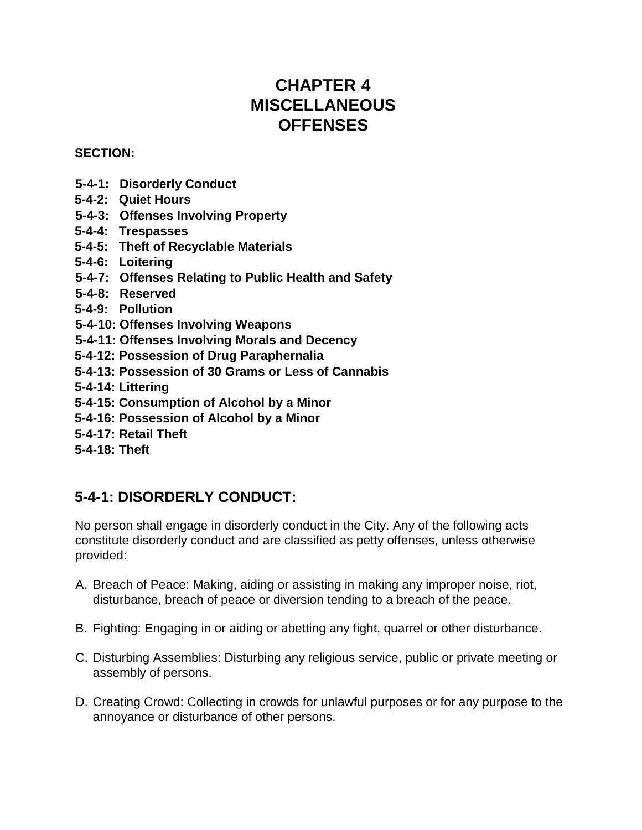## **CHAPTER 4 MISCELLANEOUS OFFENSES**

#### **SECTION:**

- **5-4-1: Disorderly Conduct**
- **5-4-2: Quiet Hours**
- **5-4-3: Offenses Involving Property**
- **5-4-4: Trespasses**
- **5-4-5: Theft of Recyclable Materials**
- **5-4-6: Loitering**
- **5-4-7: Offenses Relating to Public Health and Safety**
- **5-4-8: Reserved**
- **5-4-9: Pollution**
- **5-4-10: Offenses Involving Weapons**
- **5-4-11: Offenses Involving Morals and Decency**
- **5-4-12: Possession of Drug Paraphernalia**
- **5-4-13: Possession of 30 Grams or Less of Cannabis**
- **5-4-14: Littering**
- **5-4-15: Consumption of Alcohol by a Minor**
- **5-4-16: Possession of Alcohol by a Minor**
- **5-4-17: Retail Theft**
- **5-4-18: Theft**

### **5-4-1: DISORDERLY CONDUCT:**

No person shall engage in disorderly conduct in the City. Any of the following acts constitute disorderly conduct and are classified as petty offenses, unless otherwise provided:

- A. Breach of Peace: Making, aiding or assisting in making any improper noise, riot, disturbance, breach of peace or diversion tending to a breach of the peace.
- B. Fighting: Engaging in or aiding or abetting any fight, quarrel or other disturbance.
- C. Disturbing Assemblies: Disturbing any religious service, public or private meeting or assembly of persons.
- D. Creating Crowd: Collecting in crowds for unlawful purposes or for any purpose to the annoyance or disturbance of other persons.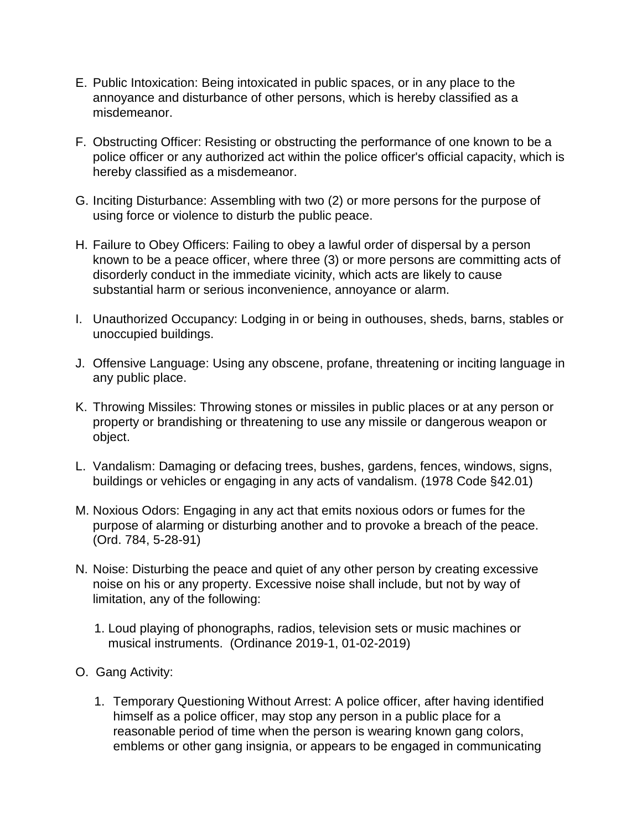- E. Public Intoxication: Being intoxicated in public spaces, or in any place to the annoyance and disturbance of other persons, which is hereby classified as a misdemeanor.
- F. Obstructing Officer: Resisting or obstructing the performance of one known to be a police officer or any authorized act within the police officer's official capacity, which is hereby classified as a misdemeanor.
- G. Inciting Disturbance: Assembling with two (2) or more persons for the purpose of using force or violence to disturb the public peace.
- H. Failure to Obey Officers: Failing to obey a lawful order of dispersal by a person known to be a peace officer, where three (3) or more persons are committing acts of disorderly conduct in the immediate vicinity, which acts are likely to cause substantial harm or serious inconvenience, annoyance or alarm.
- I. Unauthorized Occupancy: Lodging in or being in outhouses, sheds, barns, stables or unoccupied buildings.
- J. Offensive Language: Using any obscene, profane, threatening or inciting language in any public place.
- K. Throwing Missiles: Throwing stones or missiles in public places or at any person or property or brandishing or threatening to use any missile or dangerous weapon or object.
- L. Vandalism: Damaging or defacing trees, bushes, gardens, fences, windows, signs, buildings or vehicles or engaging in any acts of vandalism. (1978 Code §42.01)
- M. Noxious Odors: Engaging in any act that emits noxious odors or fumes for the purpose of alarming or disturbing another and to provoke a breach of the peace. (Ord. 784, 5-28-91)
- N. Noise: Disturbing the peace and quiet of any other person by creating excessive noise on his or any property. Excessive noise shall include, but not by way of limitation, any of the following:
	- 1. Loud playing of phonographs, radios, television sets or music machines or musical instruments. (Ordinance 2019-1, 01-02-2019)
- O. Gang Activity:
	- 1. Temporary Questioning Without Arrest: A police officer, after having identified himself as a police officer, may stop any person in a public place for a reasonable period of time when the person is wearing known gang colors, emblems or other gang insignia, or appears to be engaged in communicating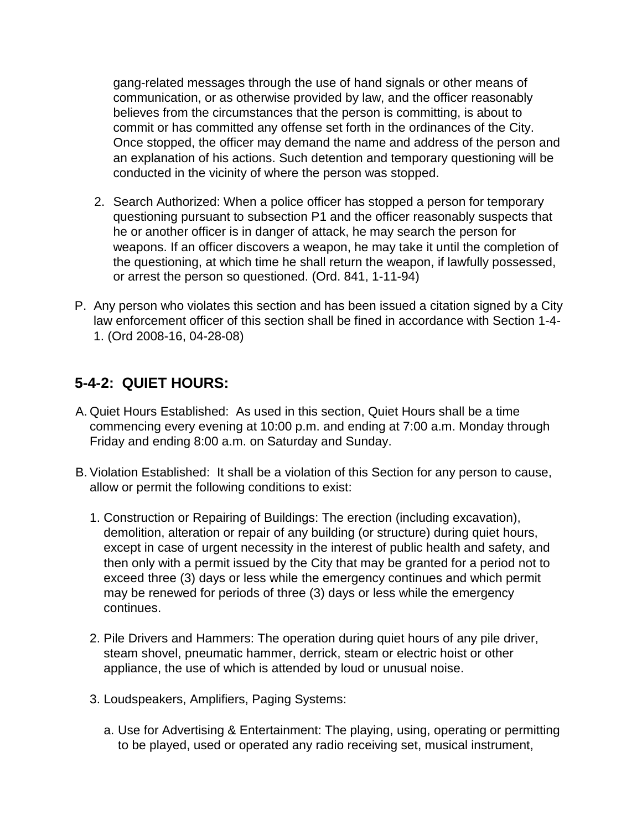gang-related messages through the use of hand signals or other means of communication, or as otherwise provided by law, and the officer reasonably believes from the circumstances that the person is committing, is about to commit or has committed any offense set forth in the ordinances of the City. Once stopped, the officer may demand the name and address of the person and an explanation of his actions. Such detention and temporary questioning will be conducted in the vicinity of where the person was stopped.

- 2. Search Authorized: When a police officer has stopped a person for temporary questioning pursuant to subsection P1 and the officer reasonably suspects that he or another officer is in danger of attack, he may search the person for weapons. If an officer discovers a weapon, he may take it until the completion of the questioning, at which time he shall return the weapon, if lawfully possessed, or arrest the person so questioned. (Ord. 841, 1-11-94)
- P. Any person who violates this section and has been issued a citation signed by a City law enforcement officer of this section shall be fined in accordance with Section 1-4- 1. (Ord 2008-16, 04-28-08)

### **5-4-2: QUIET HOURS:**

- A. Quiet Hours Established:As used in this section, Quiet Hours shall be a time commencing every evening at 10:00 p.m. and ending at 7:00 a.m. Monday through Friday and ending 8:00 a.m. on Saturday and Sunday.
- B. Violation Established:It shall be a violation of this Section for any person to cause, allow or permit the following conditions to exist:
	- 1. Construction or Repairing of Buildings: The erection (including excavation), demolition, alteration or repair of any building (or structure) during quiet hours, except in case of urgent necessity in the interest of public health and safety, and then only with a permit issued by the City that may be granted for a period not to exceed three (3) days or less while the emergency continues and which permit may be renewed for periods of three (3) days or less while the emergency continues.
	- 2. Pile Drivers and Hammers: The operation during quiet hours of any pile driver, steam shovel, pneumatic hammer, derrick, steam or electric hoist or other appliance, the use of which is attended by loud or unusual noise.
	- 3. Loudspeakers, Amplifiers, Paging Systems:
		- a. Use for Advertising & Entertainment: The playing, using, operating or permitting to be played, used or operated any radio receiving set, musical instrument,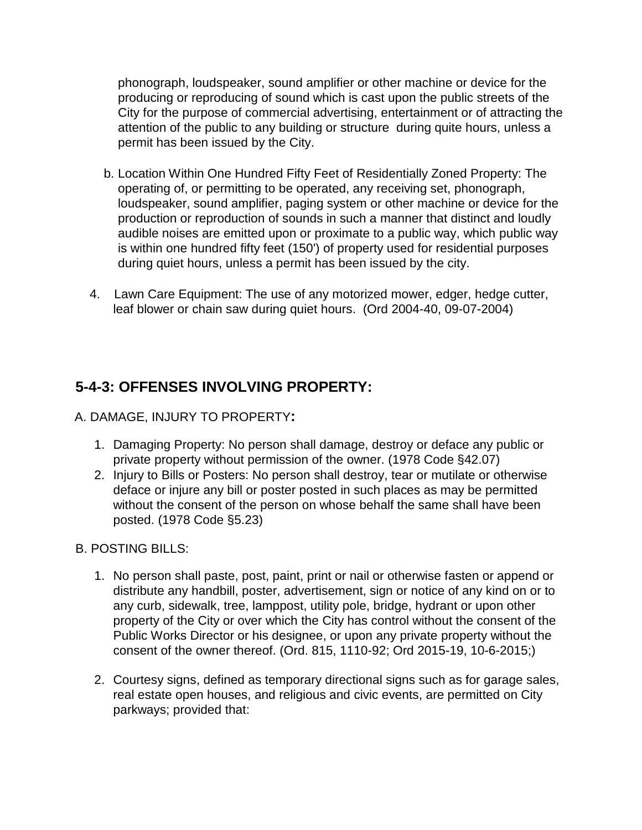phonograph, loudspeaker, sound amplifier or other machine or device for the producing or reproducing of sound which is cast upon the public streets of the City for the purpose of commercial advertising, entertainment or of attracting the attention of the public to any building or structure during quite hours, unless a permit has been issued by the City.

- b. Location Within One Hundred Fifty Feet of Residentially Zoned Property: The operating of, or permitting to be operated, any receiving set, phonograph, loudspeaker, sound amplifier, paging system or other machine or device for the production or reproduction of sounds in such a manner that distinct and loudly audible noises are emitted upon or proximate to a public way, which public way is within one hundred fifty feet (150') of property used for residential purposes during quiet hours, unless a permit has been issued by the city.
- 4. Lawn Care Equipment: The use of any motorized mower, edger, hedge cutter, leaf blower or chain saw during quiet hours. (Ord 2004-40, 09-07-2004)

### **5-4-3: OFFENSES INVOLVING PROPERTY:**

#### A. DAMAGE, INJURY TO PROPERTY**:**

- 1. Damaging Property: No person shall damage, destroy or deface any public or private property without permission of the owner. (1978 Code §42.07)
- 2. Injury to Bills or Posters: No person shall destroy, tear or mutilate or otherwise deface or injure any bill or poster posted in such places as may be permitted without the consent of the person on whose behalf the same shall have been posted. (1978 Code §5.23)

#### B. POSTING BILLS:

- 1. No person shall paste, post, paint, print or nail or otherwise fasten or append or distribute any handbill, poster, advertisement, sign or notice of any kind on or to any curb, sidewalk, tree, lamppost, utility pole, bridge, hydrant or upon other property of the City or over which the City has control without the consent of the Public Works Director or his designee, or upon any private property without the consent of the owner thereof. (Ord. 815, 1110-92; Ord 2015-19, 10-6-2015;)
- 2. Courtesy signs, defined as temporary directional signs such as for garage sales, real estate open houses, and religious and civic events, are permitted on City parkways; provided that: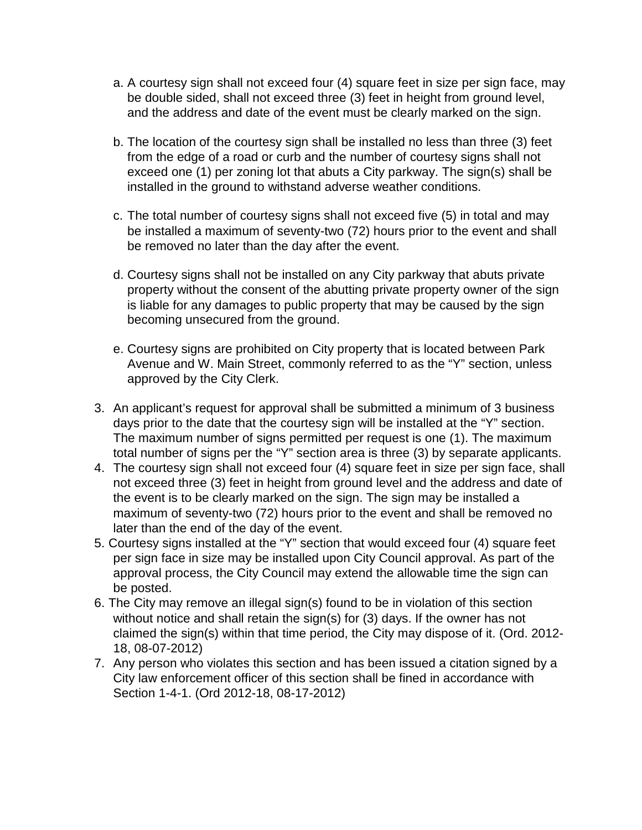- a. A courtesy sign shall not exceed four (4) square feet in size per sign face, may be double sided, shall not exceed three (3) feet in height from ground level, and the address and date of the event must be clearly marked on the sign.
- b. The location of the courtesy sign shall be installed no less than three (3) feet from the edge of a road or curb and the number of courtesy signs shall not exceed one (1) per zoning lot that abuts a City parkway. The sign(s) shall be installed in the ground to withstand adverse weather conditions.
- c. The total number of courtesy signs shall not exceed five (5) in total and may be installed a maximum of seventy-two (72) hours prior to the event and shall be removed no later than the day after the event.
- d. Courtesy signs shall not be installed on any City parkway that abuts private property without the consent of the abutting private property owner of the sign is liable for any damages to public property that may be caused by the sign becoming unsecured from the ground.
- e. Courtesy signs are prohibited on City property that is located between Park Avenue and W. Main Street, commonly referred to as the "Y" section, unless approved by the City Clerk.
- 3. An applicant's request for approval shall be submitted a minimum of 3 business days prior to the date that the courtesy sign will be installed at the "Y" section. The maximum number of signs permitted per request is one (1). The maximum total number of signs per the "Y" section area is three (3) by separate applicants.
- 4. The courtesy sign shall not exceed four (4) square feet in size per sign face, shall not exceed three (3) feet in height from ground level and the address and date of the event is to be clearly marked on the sign. The sign may be installed a maximum of seventy-two (72) hours prior to the event and shall be removed no later than the end of the day of the event.
- 5. Courtesy signs installed at the "Y" section that would exceed four (4) square feet per sign face in size may be installed upon City Council approval. As part of the approval process, the City Council may extend the allowable time the sign can be posted.
- 6. The City may remove an illegal sign(s) found to be in violation of this section without notice and shall retain the sign(s) for (3) days. If the owner has not claimed the sign(s) within that time period, the City may dispose of it. (Ord. 2012- 18, 08-07-2012)
- 7. Any person who violates this section and has been issued a citation signed by a City law enforcement officer of this section shall be fined in accordance with Section 1-4-1. (Ord 2012-18, 08-17-2012)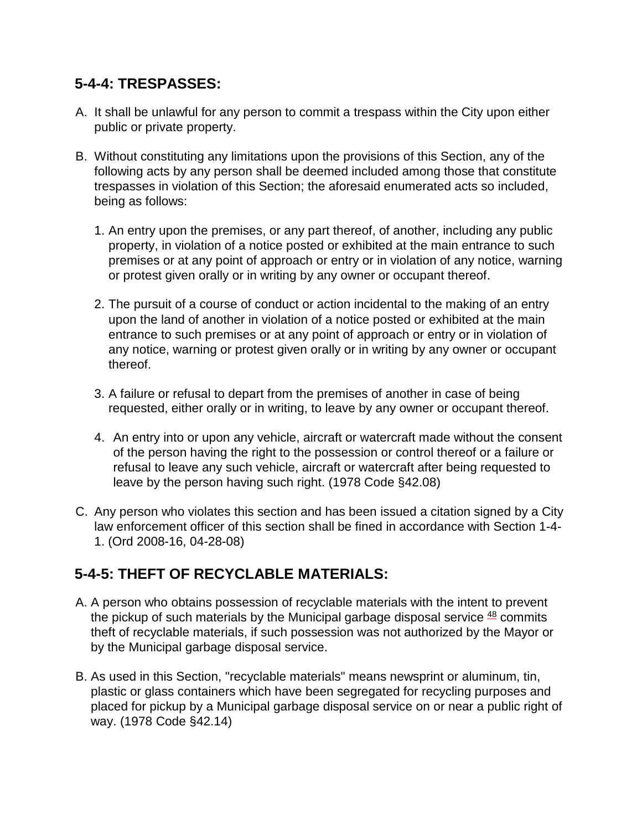### **5-4-4: TRESPASSES:**

- A. It shall be unlawful for any person to commit a trespass within the City upon either public or private property.
- B. Without constituting any limitations upon the provisions of this Section, any of the following acts by any person shall be deemed included among those that constitute trespasses in violation of this Section; the aforesaid enumerated acts so included, being as follows:
	- 1. An entry upon the premises, or any part thereof, of another, including any public property, in violation of a notice posted or exhibited at the main entrance to such premises or at any point of approach or entry or in violation of any notice, warning or protest given orally or in writing by any owner or occupant thereof.
	- 2. The pursuit of a course of conduct or action incidental to the making of an entry upon the land of another in violation of a notice posted or exhibited at the main entrance to such premises or at any point of approach or entry or in violation of any notice, warning or protest given orally or in writing by any owner or occupant thereof.
	- 3. A failure or refusal to depart from the premises of another in case of being requested, either orally or in writing, to leave by any owner or occupant thereof.
	- 4. An entry into or upon any vehicle, aircraft or watercraft made without the consent of the person having the right to the possession or control thereof or a failure or refusal to leave any such vehicle, aircraft or watercraft after being requested to leave by the person having such right. (1978 Code §42.08)
- C. Any person who violates this section and has been issued a citation signed by a City law enforcement officer of this section shall be fined in accordance with Section 1-4- 1. (Ord 2008-16, 04-28-08)

### **5-4-5: THEFT OF RECYCLABLE MATERIALS:**

- A. A person who obtains possession of recyclable materials with the intent to prevent the pickup of such materials by the Municipal garbage disposal service  $48$  commits theft of recyclable materials, if such possession was not authorized by the Mayor or by the Municipal garbage disposal service.
- B. As used in this Section, "recyclable materials" means newsprint or aluminum, tin, plastic or glass containers which have been segregated for recycling purposes and placed for pickup by a Municipal garbage disposal service on or near a public right of way. (1978 Code §42.14)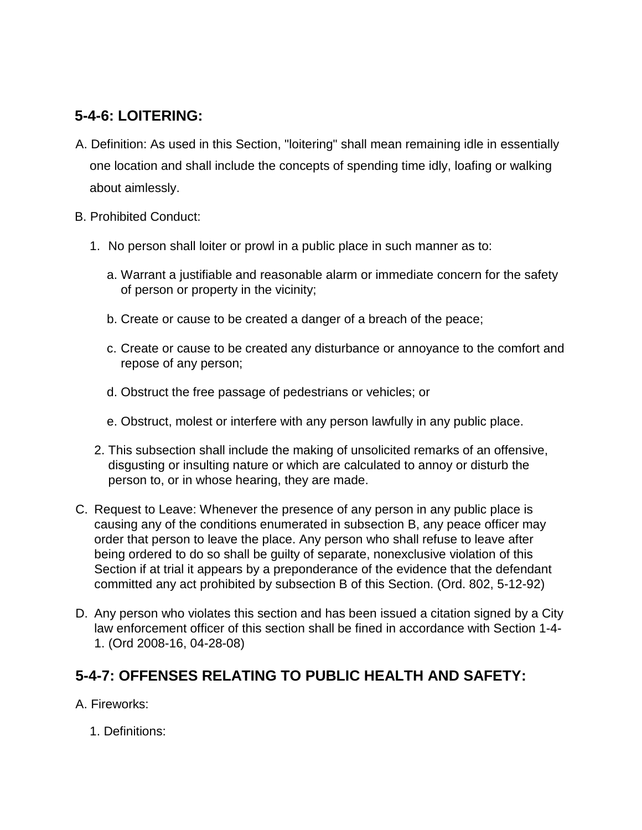### **5-4-6: LOITERING:**

- A. Definition: As used in this Section, "loitering" shall mean remaining idle in essentially one location and shall include the concepts of spending time idly, loafing or walking about aimlessly.
- B. Prohibited Conduct:
	- 1. No person shall loiter or prowl in a public place in such manner as to:
		- a. Warrant a justifiable and reasonable alarm or immediate concern for the safety of person or property in the vicinity;
		- b. Create or cause to be created a danger of a breach of the peace;
		- c. Create or cause to be created any disturbance or annoyance to the comfort and repose of any person;
		- d. Obstruct the free passage of pedestrians or vehicles; or
		- e. Obstruct, molest or interfere with any person lawfully in any public place.
	- 2. This subsection shall include the making of unsolicited remarks of an offensive, disgusting or insulting nature or which are calculated to annoy or disturb the person to, or in whose hearing, they are made.
- C. Request to Leave: Whenever the presence of any person in any public place is causing any of the conditions enumerated in subsection B, any peace officer may order that person to leave the place. Any person who shall refuse to leave after being ordered to do so shall be guilty of separate, nonexclusive violation of this Section if at trial it appears by a preponderance of the evidence that the defendant committed any act prohibited by subsection B of this Section. (Ord. 802, 5-12-92)
- D. Any person who violates this section and has been issued a citation signed by a City law enforcement officer of this section shall be fined in accordance with Section 1-4- 1. (Ord 2008-16, 04-28-08)

### **5-4-7: OFFENSES RELATING TO PUBLIC HEALTH AND SAFETY:**

A. Fireworks:

1. Definitions: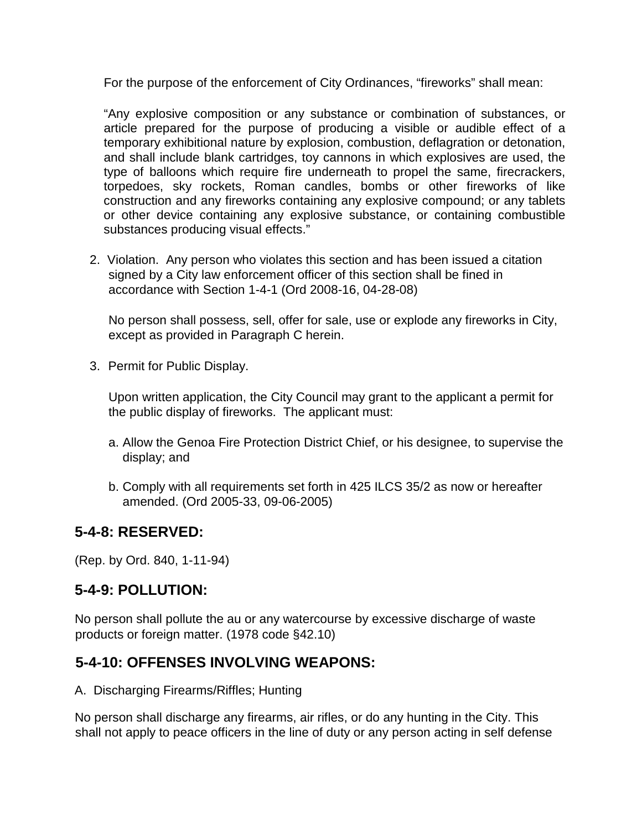For the purpose of the enforcement of City Ordinances, "fireworks" shall mean:

"Any explosive composition or any substance or combination of substances, or article prepared for the purpose of producing a visible or audible effect of a temporary exhibitional nature by explosion, combustion, deflagration or detonation, and shall include blank cartridges, toy cannons in which explosives are used, the type of balloons which require fire underneath to propel the same, firecrackers, torpedoes, sky rockets, Roman candles, bombs or other fireworks of like construction and any fireworks containing any explosive compound; or any tablets or other device containing any explosive substance, or containing combustible substances producing visual effects."

2. Violation. Any person who violates this section and has been issued a citation signed by a City law enforcement officer of this section shall be fined in accordance with Section 1-4-1 (Ord 2008-16, 04-28-08)

No person shall possess, sell, offer for sale, use or explode any fireworks in City, except as provided in Paragraph C herein.

3. Permit for Public Display.

Upon written application, the City Council may grant to the applicant a permit for the public display of fireworks. The applicant must:

- a. Allow the Genoa Fire Protection District Chief, or his designee, to supervise the display; and
- b. Comply with all requirements set forth in 425 ILCS 35/2 as now or hereafter amended. (Ord 2005-33, 09-06-2005)

#### **5-4-8: RESERVED:**

(Rep. by Ord. 840, 1-11-94)

### **5-4-9: POLLUTION:**

No person shall pollute the au or any watercourse by excessive discharge of waste products or foreign matter. (1978 code §42.10)

### **5-4-10: OFFENSES INVOLVING WEAPONS:**

A. Discharging Firearms/Riffles; Hunting

No person shall discharge any firearms, air rifles, or do any hunting in the City. This shall not apply to peace officers in the line of duty or any person acting in self defense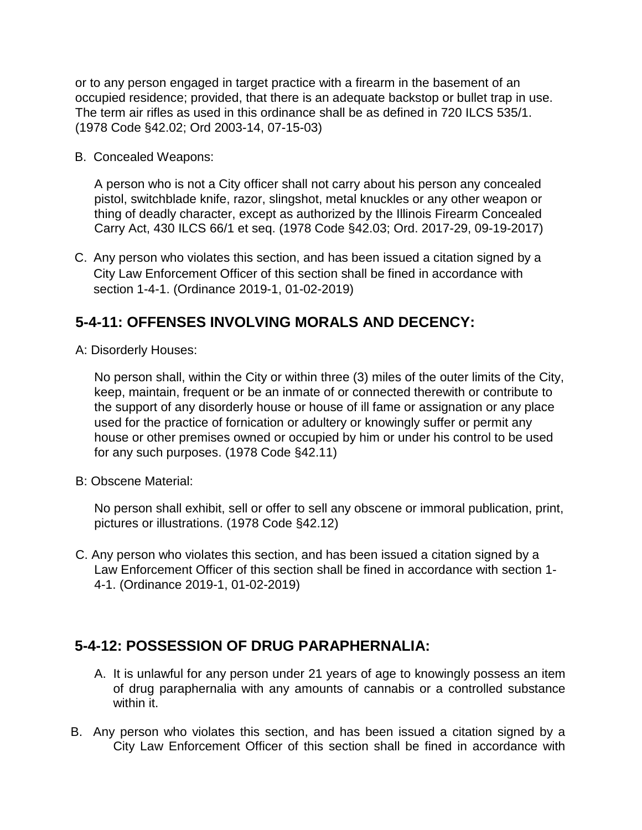or to any person engaged in target practice with a firearm in the basement of an occupied residence; provided, that there is an adequate backstop or bullet trap in use. The term air rifles as used in this ordinance shall be as defined in 720 ILCS 535/1. (1978 Code §42.02; Ord 2003-14, 07-15-03)

B. Concealed Weapons:

A person who is not a City officer shall not carry about his person any concealed pistol, switchblade knife, razor, slingshot, metal knuckles or any other weapon or thing of deadly character, except as authorized by the Illinois Firearm Concealed Carry Act, 430 ILCS 66/1 et seq. (1978 Code §42.03; Ord. 2017-29, 09-19-2017)

C. Any person who violates this section, and has been issued a citation signed by a City Law Enforcement Officer of this section shall be fined in accordance with section 1-4-1. (Ordinance 2019-1, 01-02-2019)

### **5-4-11: OFFENSES INVOLVING MORALS AND DECENCY:**

A: Disorderly Houses:

No person shall, within the City or within three (3) miles of the outer limits of the City, keep, maintain, frequent or be an inmate of or connected therewith or contribute to the support of any disorderly house or house of ill fame or assignation or any place used for the practice of fornication or adultery or knowingly suffer or permit any house or other premises owned or occupied by him or under his control to be used for any such purposes. (1978 Code §42.11)

B: Obscene Material:

No person shall exhibit, sell or offer to sell any obscene or immoral publication, print, pictures or illustrations. (1978 Code §42.12)

C. Any person who violates this section, and has been issued a citation signed by a Law Enforcement Officer of this section shall be fined in accordance with section 1- 4-1. (Ordinance 2019-1, 01-02-2019)

### **5-4-12: POSSESSION OF DRUG PARAPHERNALIA:**

- A. It is unlawful for any person under 21 years of age to knowingly possess an item of drug paraphernalia with any amounts of cannabis or a controlled substance within it.
- B. Any person who violates this section, and has been issued a citation signed by a City Law Enforcement Officer of this section shall be fined in accordance with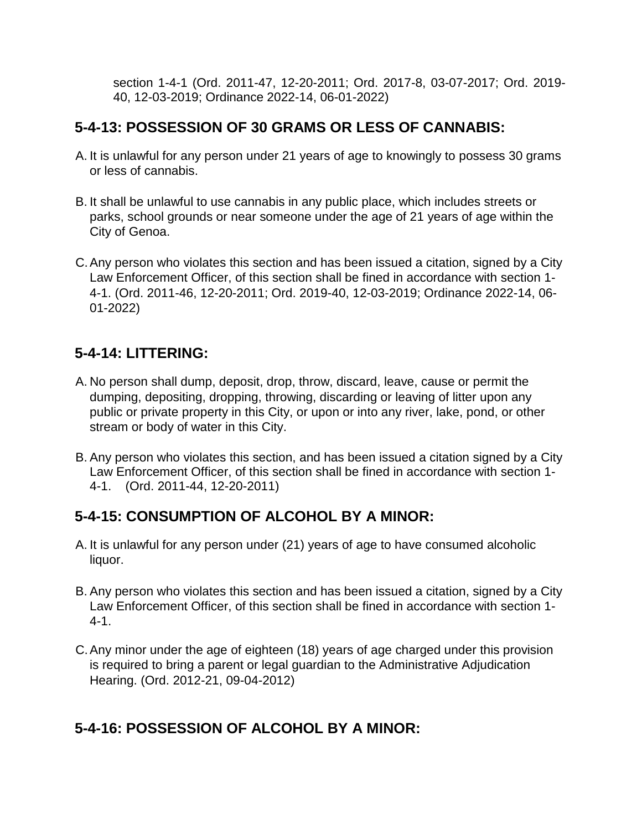section 1-4-1 (Ord. 2011-47, 12-20-2011; Ord. 2017-8, 03-07-2017; Ord. 2019- 40, 12-03-2019; Ordinance 2022-14, 06-01-2022)

#### **5-4-13: POSSESSION OF 30 GRAMS OR LESS OF CANNABIS:**

- A. It is unlawful for any person under 21 years of age to knowingly to possess 30 grams or less of cannabis.
- B. It shall be unlawful to use cannabis in any public place, which includes streets or parks, school grounds or near someone under the age of 21 years of age within the City of Genoa.
- C.Any person who violates this section and has been issued a citation, signed by a City Law Enforcement Officer, of this section shall be fined in accordance with section 1- 4-1. (Ord. 2011-46, 12-20-2011; Ord. 2019-40, 12-03-2019; Ordinance 2022-14, 06- 01-2022)

### **5-4-14: LITTERING:**

- A. No person shall dump, deposit, drop, throw, discard, leave, cause or permit the dumping, depositing, dropping, throwing, discarding or leaving of litter upon any public or private property in this City, or upon or into any river, lake, pond, or other stream or body of water in this City.
- B. Any person who violates this section, and has been issued a citation signed by a City Law Enforcement Officer, of this section shall be fined in accordance with section 1- 4-1. (Ord. 2011-44, 12-20-2011)

### **5-4-15: CONSUMPTION OF ALCOHOL BY A MINOR:**

- A. It is unlawful for any person under (21) years of age to have consumed alcoholic liquor.
- B. Any person who violates this section and has been issued a citation, signed by a City Law Enforcement Officer, of this section shall be fined in accordance with section 1- 4-1.
- C.Any minor under the age of eighteen (18) years of age charged under this provision is required to bring a parent or legal guardian to the Administrative Adjudication Hearing. (Ord. 2012-21, 09-04-2012)

### **5-4-16: POSSESSION OF ALCOHOL BY A MINOR:**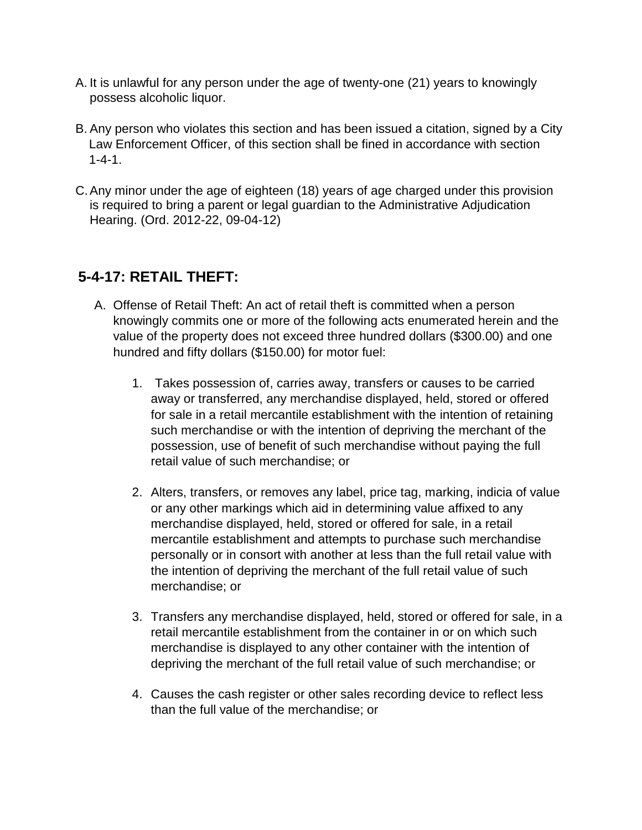- A. It is unlawful for any person under the age of twenty-one (21) years to knowingly possess alcoholic liquor.
- B. Any person who violates this section and has been issued a citation, signed by a City Law Enforcement Officer, of this section shall be fined in accordance with section 1-4-1.
- C.Any minor under the age of eighteen (18) years of age charged under this provision is required to bring a parent or legal guardian to the Administrative Adjudication Hearing. (Ord. 2012-22, 09-04-12)

### **5-4-17: RETAIL THEFT:**

- A. Offense of Retail Theft: An act of retail theft is committed when a person knowingly commits one or more of the following acts enumerated herein and the value of the property does not exceed three hundred dollars (\$300.00) and one hundred and fifty dollars (\$150.00) for motor fuel:
	- 1. Takes possession of, carries away, transfers or causes to be carried away or transferred, any merchandise displayed, held, stored or offered for sale in a retail mercantile establishment with the intention of retaining such merchandise or with the intention of depriving the merchant of the possession, use of benefit of such merchandise without paying the full retail value of such merchandise; or
	- 2. Alters, transfers, or removes any label, price tag, marking, indicia of value or any other markings which aid in determining value affixed to any merchandise displayed, held, stored or offered for sale, in a retail mercantile establishment and attempts to purchase such merchandise personally or in consort with another at less than the full retail value with the intention of depriving the merchant of the full retail value of such merchandise; or
	- 3. Transfers any merchandise displayed, held, stored or offered for sale, in a retail mercantile establishment from the container in or on which such merchandise is displayed to any other container with the intention of depriving the merchant of the full retail value of such merchandise; or
	- 4. Causes the cash register or other sales recording device to reflect less than the full value of the merchandise; or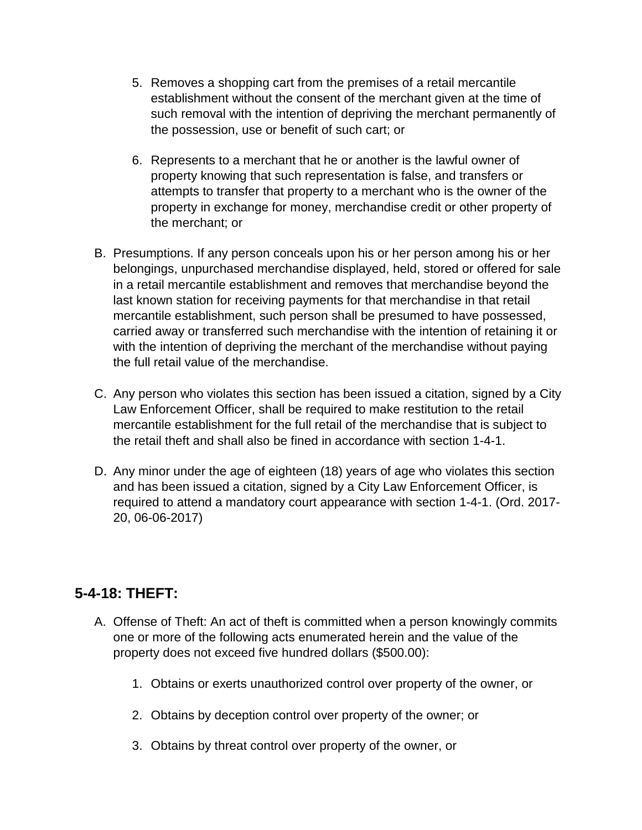- 5. Removes a shopping cart from the premises of a retail mercantile establishment without the consent of the merchant given at the time of such removal with the intention of depriving the merchant permanently of the possession, use or benefit of such cart; or
- 6. Represents to a merchant that he or another is the lawful owner of property knowing that such representation is false, and transfers or attempts to transfer that property to a merchant who is the owner of the property in exchange for money, merchandise credit or other property of the merchant; or
- B. Presumptions. If any person conceals upon his or her person among his or her belongings, unpurchased merchandise displayed, held, stored or offered for sale in a retail mercantile establishment and removes that merchandise beyond the last known station for receiving payments for that merchandise in that retail mercantile establishment, such person shall be presumed to have possessed, carried away or transferred such merchandise with the intention of retaining it or with the intention of depriving the merchant of the merchandise without paying the full retail value of the merchandise.
- C. Any person who violates this section has been issued a citation, signed by a City Law Enforcement Officer, shall be required to make restitution to the retail mercantile establishment for the full retail of the merchandise that is subject to the retail theft and shall also be fined in accordance with section 1-4-1.
- D. Any minor under the age of eighteen (18) years of age who violates this section and has been issued a citation, signed by a City Law Enforcement Officer, is required to attend a mandatory court appearance with section 1-4-1. (Ord. 2017- 20, 06-06-2017)

### **5-4-18: THEFT:**

- A. Offense of Theft: An act of theft is committed when a person knowingly commits one or more of the following acts enumerated herein and the value of the property does not exceed five hundred dollars (\$500.00):
	- 1. Obtains or exerts unauthorized control over property of the owner, or
	- 2. Obtains by deception control over property of the owner; or
	- 3. Obtains by threat control over property of the owner, or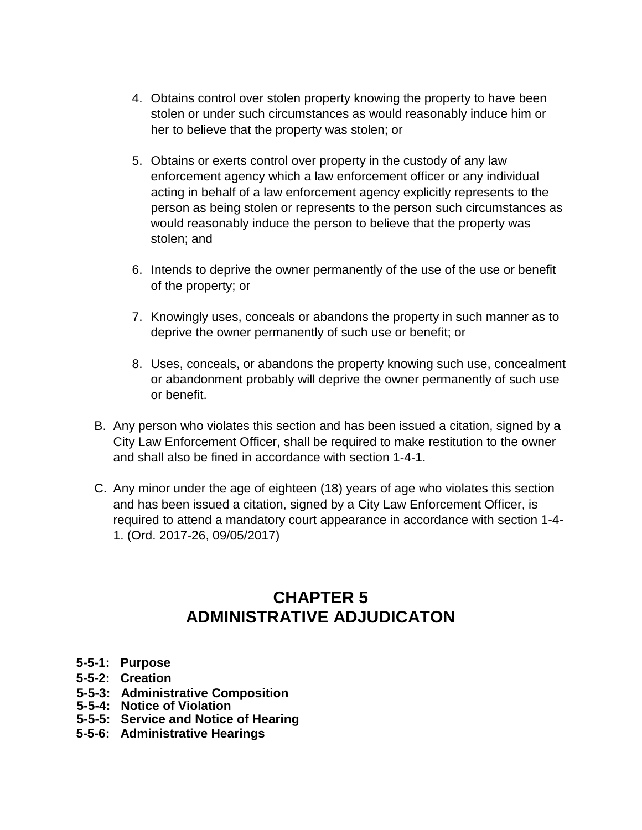- 4. Obtains control over stolen property knowing the property to have been stolen or under such circumstances as would reasonably induce him or her to believe that the property was stolen; or
- 5. Obtains or exerts control over property in the custody of any law enforcement agency which a law enforcement officer or any individual acting in behalf of a law enforcement agency explicitly represents to the person as being stolen or represents to the person such circumstances as would reasonably induce the person to believe that the property was stolen; and
- 6. Intends to deprive the owner permanently of the use of the use or benefit of the property; or
- 7. Knowingly uses, conceals or abandons the property in such manner as to deprive the owner permanently of such use or benefit; or
- 8. Uses, conceals, or abandons the property knowing such use, concealment or abandonment probably will deprive the owner permanently of such use or benefit.
- B. Any person who violates this section and has been issued a citation, signed by a City Law Enforcement Officer, shall be required to make restitution to the owner and shall also be fined in accordance with section 1-4-1.
- C. Any minor under the age of eighteen (18) years of age who violates this section and has been issued a citation, signed by a City Law Enforcement Officer, is required to attend a mandatory court appearance in accordance with section 1-4- 1. (Ord. 2017-26, 09/05/2017)

### **CHAPTER 5 ADMINISTRATIVE ADJUDICATON**

- **5-5-1: Purpose**
- **5-5-2: Creation**
- **5-5-3: Administrative Composition**
- **5-5-4: Notice of Violation**
- **5-5-5: Service and Notice of Hearing**
- **5-5-6: Administrative Hearings**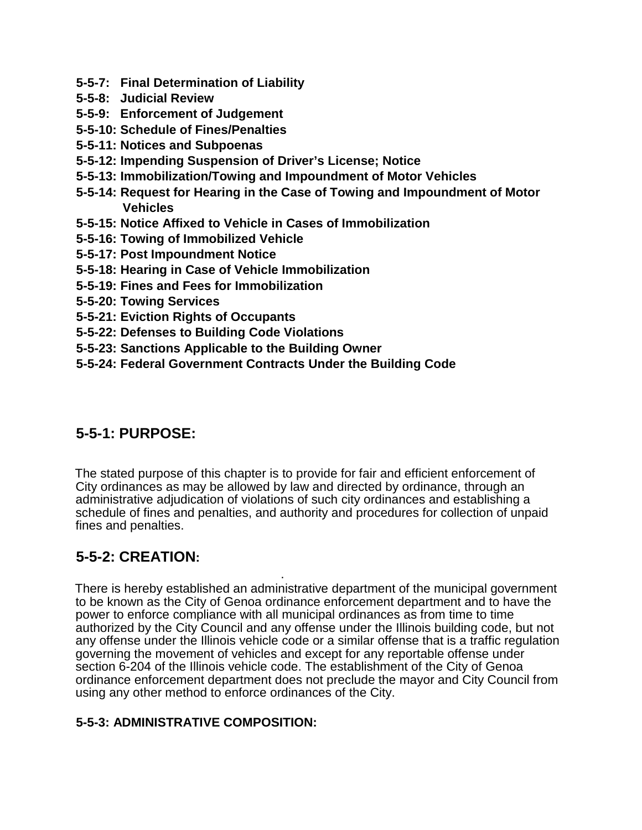- **5-5-7: Final Determination of Liability**
- **5-5-8: Judicial Review**
- **5-5-9: Enforcement of Judgement**
- **5-5-10: Schedule of Fines/Penalties**
- **5-5-11: Notices and Subpoenas**
- **5-5-12: Impending Suspension of Driver's License; Notice**
- **5-5-13: Immobilization/Towing and Impoundment of Motor Vehicles**
- **5-5-14: Request for Hearing in the Case of Towing and Impoundment of Motor Vehicles**
- **5-5-15: Notice Affixed to Vehicle in Cases of Immobilization**
- **5-5-16: Towing of Immobilized Vehicle**
- **5-5-17: Post Impoundment Notice**
- **5-5-18: Hearing in Case of Vehicle Immobilization**
- **5-5-19: Fines and Fees for Immobilization**
- **5-5-20: Towing Services**
- **5-5-21: Eviction Rights of Occupants**
- **5-5-22: Defenses to Building Code Violations**
- **5-5-23: Sanctions Applicable to the Building Owner**
- **5-5-24: Federal Government Contracts Under the Building Code**

#### **5-5-1: PURPOSE:**

The stated purpose of this chapter is to provide for fair and efficient enforcement of City ordinances as may be allowed by law and directed by ordinance, through an administrative adjudication of violations of such city ordinances and establishing a schedule of fines and penalties, and authority and procedures for collection of unpaid fines and penalties.

### **5-5-2: CREATION:**

. There is hereby established an administrative department of the municipal government to be known as the City of Genoa ordinance enforcement department and to have the power to enforce compliance with all municipal ordinances as from time to time authorized by the City Council and any offense under the Illinois building code, but not any offense under the Illinois vehicle code or a similar offense that is a traffic regulation governing the movement of vehicles and except for any reportable offense under section 6-204 of the Illinois vehicle code. The establishment of the City of Genoa ordinance enforcement department does not preclude the mayor and City Council from using any other method to enforce ordinances of the City.

#### **5-5-3: ADMINISTRATIVE COMPOSITION:**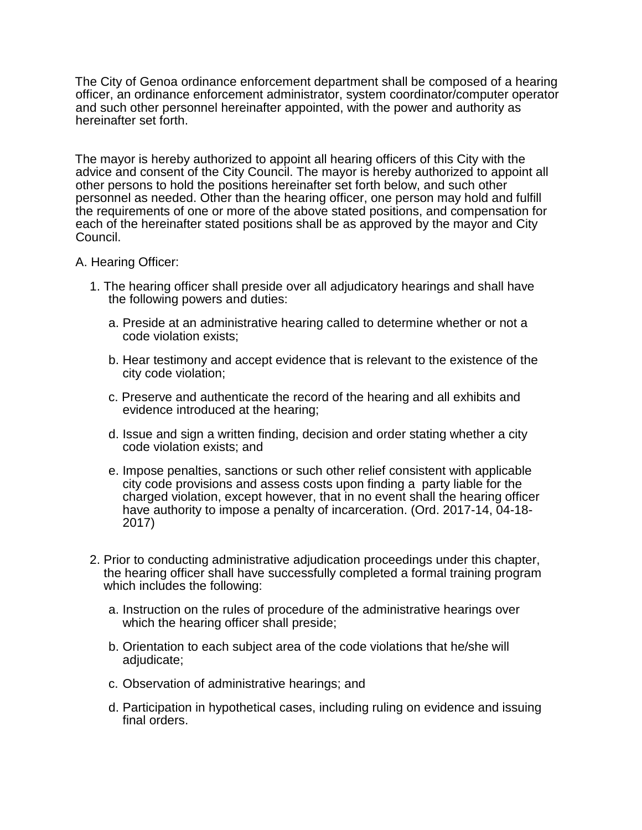The City of Genoa ordinance enforcement department shall be composed of a hearing officer, an ordinance enforcement administrator, system coordinator/computer operator and such other personnel hereinafter appointed, with the power and authority as hereinafter set forth.

The mayor is hereby authorized to appoint all hearing officers of this City with the advice and consent of the City Council. The mayor is hereby authorized to appoint all other persons to hold the positions hereinafter set forth below, and such other personnel as needed. Other than the hearing officer, one person may hold and fulfill the requirements of one or more of the above stated positions, and compensation for each of the hereinafter stated positions shall be as approved by the mayor and City Council.

#### A. Hearing Officer:

- 1. The hearing officer shall preside over all adjudicatory hearings and shall have the following powers and duties:
	- a. Preside at an administrative hearing called to determine whether or not a code violation exists;
	- b. Hear testimony and accept evidence that is relevant to the existence of the city code violation;
	- c. Preserve and authenticate the record of the hearing and all exhibits and evidence introduced at the hearing;
	- d. Issue and sign a written finding, decision and order stating whether a city code violation exists; and
	- e. Impose penalties, sanctions or such other relief consistent with applicable city code provisions and assess costs upon finding a party liable for the charged violation, except however, that in no event shall the hearing officer have authority to impose a penalty of incarceration. (Ord. 2017-14, 04-18- 2017)
- 2. Prior to conducting administrative adjudication proceedings under this chapter, the hearing officer shall have successfully completed a formal training program which includes the following:
	- a. Instruction on the rules of procedure of the administrative hearings over which the hearing officer shall preside;
	- b. Orientation to each subject area of the code violations that he/she will adjudicate;
	- c. Observation of administrative hearings; and
	- d. Participation in hypothetical cases, including ruling on evidence and issuing final orders.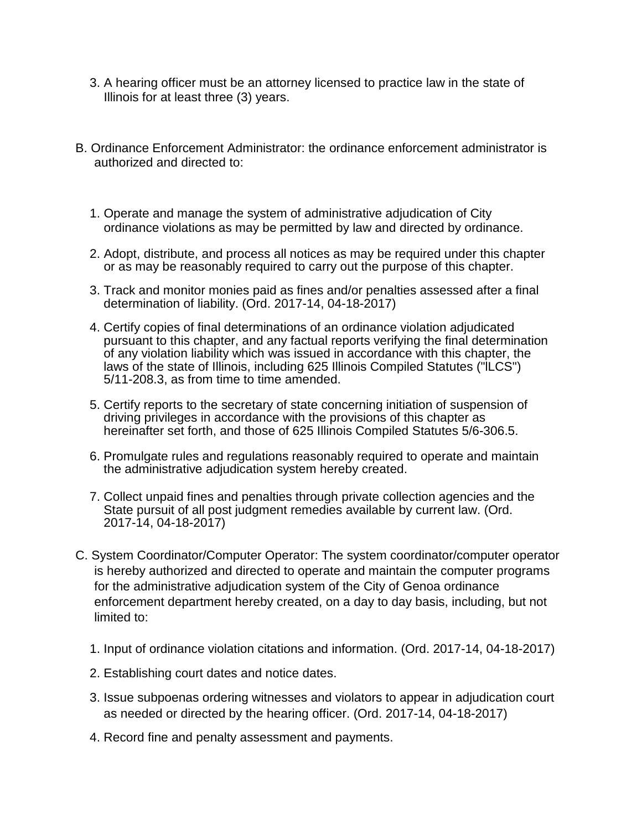- 3. A hearing officer must be an attorney licensed to practice law in the state of Illinois for at least three (3) years.
- B. Ordinance Enforcement Administrator: the ordinance enforcement administrator is authorized and directed to:
	- 1. Operate and manage the system of administrative adjudication of City ordinance violations as may be permitted by law and directed by ordinance.
	- 2. Adopt, distribute, and process all notices as may be required under this chapter or as may be reasonably required to carry out the purpose of this chapter.
	- 3. Track and monitor monies paid as fines and/or penalties assessed after a final determination of liability. (Ord. 2017-14, 04-18-2017)
	- 4. Certify copies of final determinations of an ordinance violation adjudicated pursuant to this chapter, and any factual reports verifying the final determination of any violation liability which was issued in accordance with this chapter, the laws of the state of Illinois, including 625 Illinois Compiled Statutes ("lLCS") 5/11-208.3, as from time to time amended.
	- 5. Certify reports to the secretary of state concerning initiation of suspension of driving privileges in accordance with the provisions of this chapter as hereinafter set forth, and those of 625 Illinois Compiled Statutes 5/6-306.5.
	- 6. Promulgate rules and regulations reasonably required to operate and maintain the administrative adjudication system hereby created.
	- 7. Collect unpaid fines and penalties through private collection agencies and the State pursuit of all post judgment remedies available by current law. (Ord. 2017-14, 04-18-2017)
- C. System Coordinator/Computer Operator: The system coordinator/computer operator is hereby authorized and directed to operate and maintain the computer programs for the administrative adjudication system of the City of Genoa ordinance enforcement department hereby created, on a day to day basis, including, but not limited to:
	- 1. Input of ordinance violation citations and information. (Ord. 2017-14, 04-18-2017)
	- 2. Establishing court dates and notice dates.
	- 3. Issue subpoenas ordering witnesses and violators to appear in adjudication court as needed or directed by the hearing officer. (Ord. 2017-14, 04-18-2017)
	- 4. Record fine and penalty assessment and payments.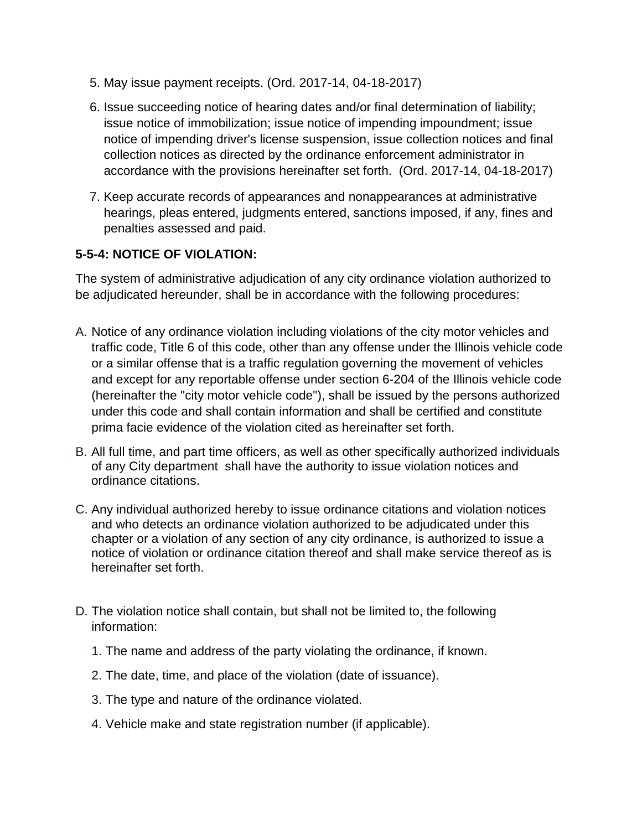- 5. May issue payment receipts. (Ord. 2017-14, 04-18-2017)
- 6. Issue succeeding notice of hearing dates and/or final determination of liability; issue notice of immobilization; issue notice of impending impoundment; issue notice of impending driver's license suspension, issue collection notices and final collection notices as directed by the ordinance enforcement administrator in accordance with the provisions hereinafter set forth. (Ord. 2017-14, 04-18-2017)
- 7. Keep accurate records of appearances and nonappearances at administrative hearings, pleas entered, judgments entered, sanctions imposed, if any, fines and penalties assessed and paid.

#### **5-5-4: NOTICE OF VIOLATION:**

The system of administrative adjudication of any city ordinance violation authorized to be adjudicated hereunder, shall be in accordance with the following procedures:

- A. Notice of any ordinance violation including violations of the city motor vehicles and traffic code, Title 6 of this code, other than any offense under the Illinois vehicle code or a similar offense that is a traffic regulation governing the movement of vehicles and except for any reportable offense under section 6-204 of the Illinois vehicle code (hereinafter the "city motor vehicle code"), shall be issued by the persons authorized under this code and shall contain information and shall be certified and constitute prima facie evidence of the violation cited as hereinafter set forth.
- B. All full time, and part time officers, as well as other specifically authorized individuals of any City department shall have the authority to issue violation notices and ordinance citations.
- C. Any individual authorized hereby to issue ordinance citations and violation notices and who detects an ordinance violation authorized to be adjudicated under this chapter or a violation of any section of any city ordinance, is authorized to issue a notice of violation or ordinance citation thereof and shall make service thereof as is hereinafter set forth.
- D. The violation notice shall contain, but shall not be limited to, the following information:
	- 1. The name and address of the party violating the ordinance, if known.
	- 2. The date, time, and place of the violation (date of issuance).
	- 3. The type and nature of the ordinance violated.
	- 4. Vehicle make and state registration number (if applicable).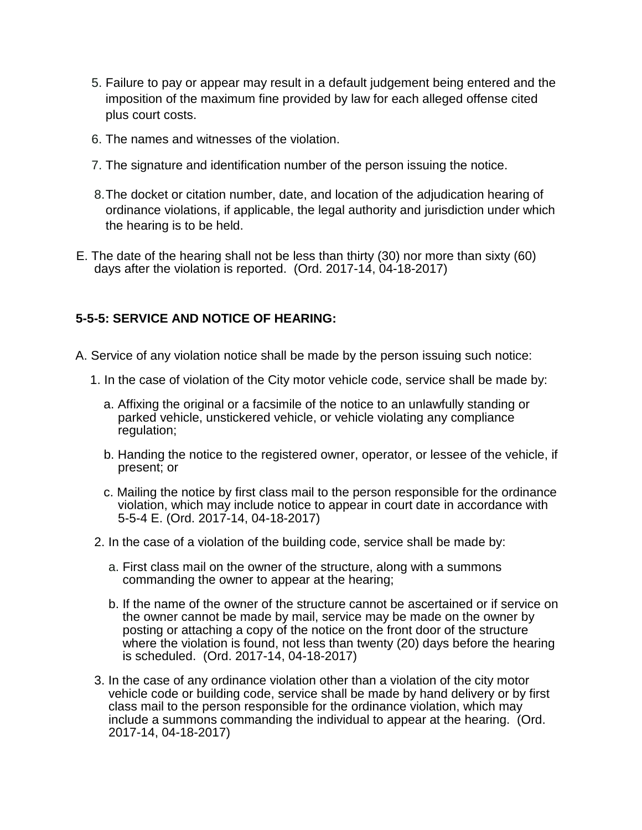- 5. Failure to pay or appear may result in a default judgement being entered and the imposition of the maximum fine provided by law for each alleged offense cited plus court costs.
- 6. The names and witnesses of the violation.
- 7. The signature and identification number of the person issuing the notice.
- 8.The docket or citation number, date, and location of the adjudication hearing of ordinance violations, if applicable, the legal authority and jurisdiction under which the hearing is to be held.
- E. The date of the hearing shall not be less than thirty (30) nor more than sixty (60) days after the violation is reported. (Ord. 2017-14, 04-18-2017)

#### **5-5-5: SERVICE AND NOTICE OF HEARING:**

- A. Service of any violation notice shall be made by the person issuing such notice:
	- 1. In the case of violation of the City motor vehicle code, service shall be made by:
		- a. Affixing the original or a facsimile of the notice to an unlawfully standing or parked vehicle, unstickered vehicle, or vehicle violating any compliance regulation;
		- b. Handing the notice to the registered owner, operator, or lessee of the vehicle, if present; or
		- c. Mailing the notice by first class mail to the person responsible for the ordinance violation, which may include notice to appear in court date in accordance with 5-5-4 E. (Ord. 2017-14, 04-18-2017)
	- 2. In the case of a violation of the building code, service shall be made by:
		- a. First class mail on the owner of the structure, along with a summons commanding the owner to appear at the hearing;
		- b. If the name of the owner of the structure cannot be ascertained or if service on the owner cannot be made by mail, service may be made on the owner by posting or attaching a copy of the notice on the front door of the structure where the violation is found, not less than twenty (20) days before the hearing is scheduled. (Ord. 2017-14, 04-18-2017)
	- 3. In the case of any ordinance violation other than a violation of the city motor vehicle code or building code, service shall be made by hand delivery or by first class mail to the person responsible for the ordinance violation, which may include a summons commanding the individual to appear at the hearing. (Ord. 2017-14, 04-18-2017)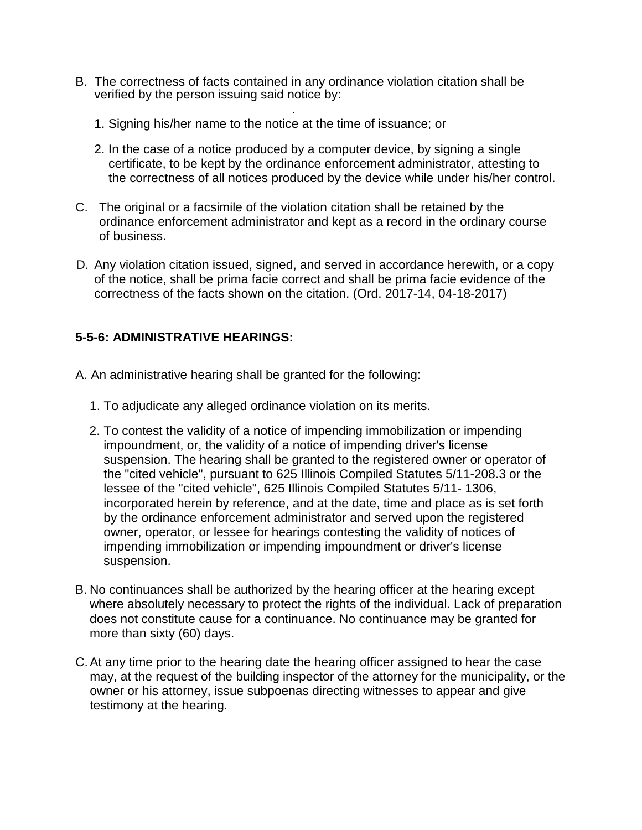- B. The correctness of facts contained in any ordinance violation citation shall be verified by the person issuing said notice by:
	- . 1. Signing his/her name to the notice at the time of issuance; or
	- 2. In the case of a notice produced by a computer device, by signing a single certificate, to be kept by the ordinance enforcement administrator, attesting to the correctness of all notices produced by the device while under his/her control.
- C. The original or a facsimile of the violation citation shall be retained by the ordinance enforcement administrator and kept as a record in the ordinary course of business.
- D. Any violation citation issued, signed, and served in accordance herewith, or a copy of the notice, shall be prima facie correct and shall be prima facie evidence of the correctness of the facts shown on the citation. (Ord. 2017-14, 04-18-2017)

#### **5-5-6: ADMINISTRATIVE HEARINGS:**

- A. An administrative hearing shall be granted for the following:
	- 1. To adjudicate any alleged ordinance violation on its merits.
	- 2. To contest the validity of a notice of impending immobilization or impending impoundment, or, the validity of a notice of impending driver's license suspension. The hearing shall be granted to the registered owner or operator of the "cited vehicle", pursuant to 625 Illinois Compiled Statutes 5/11-208.3 or the lessee of the "cited vehicle", 625 Illinois Compiled Statutes 5/11- 1306, incorporated herein by reference, and at the date, time and place as is set forth by the ordinance enforcement administrator and served upon the registered owner, operator, or lessee for hearings contesting the validity of notices of impending immobilization or impending impoundment or driver's license suspension.
- B. No continuances shall be authorized by the hearing officer at the hearing except where absolutely necessary to protect the rights of the individual. Lack of preparation does not constitute cause for a continuance. No continuance may be granted for more than sixty (60) days.
- C.At any time prior to the hearing date the hearing officer assigned to hear the case may, at the request of the building inspector of the attorney for the municipality, or the owner or his attorney, issue subpoenas directing witnesses to appear and give testimony at the hearing.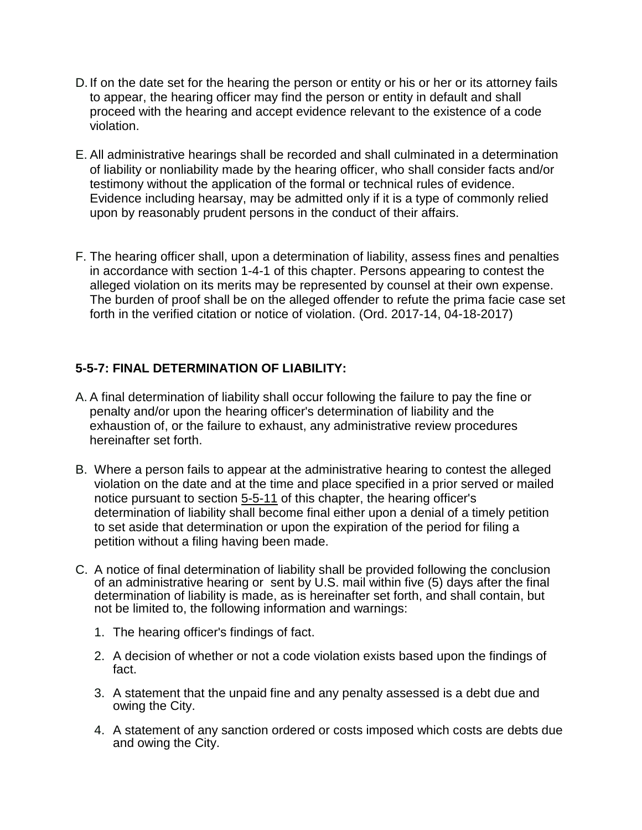- D. If on the date set for the hearing the person or entity or his or her or its attorney fails to appear, the hearing officer may find the person or entity in default and shall proceed with the hearing and accept evidence relevant to the existence of a code violation.
- E. All administrative hearings shall be recorded and shall culminated in a determination of liability or nonliability made by the hearing officer, who shall consider facts and/or testimony without the application of the formal or technical rules of evidence. Evidence including hearsay, may be admitted only if it is a type of commonly relied upon by reasonably prudent persons in the conduct of their affairs.
- F. The hearing officer shall, upon a determination of liability, assess fines and penalties in accordance with section 1-4-1 of this chapter. Persons appearing to contest the alleged violation on its merits may be represented by counsel at their own expense. The burden of proof shall be on the alleged offender to refute the prima facie case set forth in the verified citation or notice of violation. (Ord. 2017-14, 04-18-2017)

#### **5-5-7: FINAL DETERMINATION OF LIABILITY:**

- A. A final determination of liability shall occur following the failure to pay the fine or penalty and/or upon the hearing officer's determination of liability and the exhaustion of, or the failure to exhaust, any administrative review procedures hereinafter set forth.
- B. Where a person fails to appear at the administrative hearing to contest the alleged violation on the date and at the time and place specified in a prior served or mailed notice pursuant to section 5-5-11 of this chapter, the hearing officer's determination of liability shall become final either upon a denial of a timely petition to set aside that determination or upon the expiration of the period for filing a petition without a filing having been made.
- C. A notice of final determination of liability shall be provided following the conclusion of an administrative hearing or sent by U.S. mail within five (5) days after the final determination of liability is made, as is hereinafter set forth, and shall contain, but not be limited to, the following information and warnings:
	- 1. The hearing officer's findings of fact.
	- 2. A decision of whether or not a code violation exists based upon the findings of fact.
	- 3. A statement that the unpaid fine and any penalty assessed is a debt due and owing the City.
	- 4. A statement of any sanction ordered or costs imposed which costs are debts due and owing the City.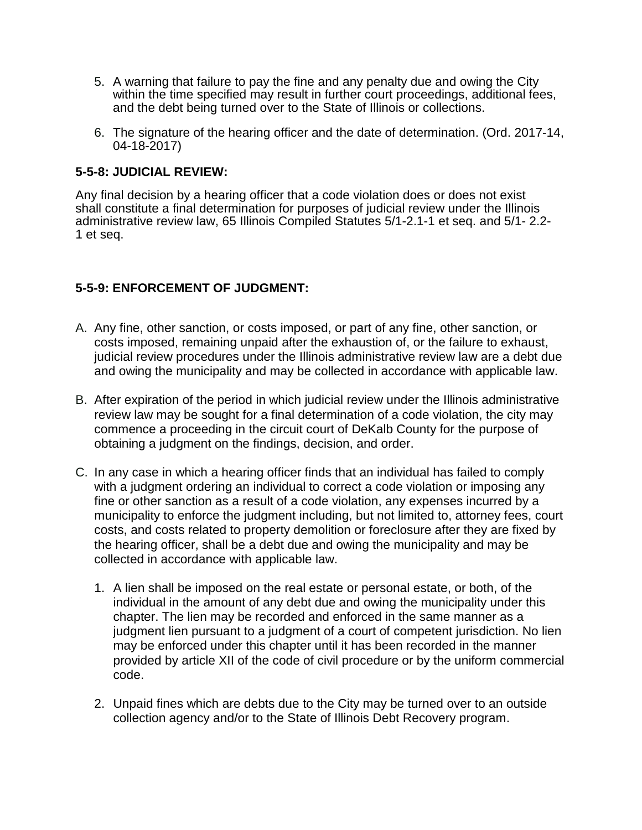- 5. A warning that failure to pay the fine and any penalty due and owing the City within the time specified may result in further court proceedings, additional fees, and the debt being turned over to the State of Illinois or collections.
- 6. The signature of the hearing officer and the date of determination. (Ord. 2017-14, 04-18-2017)

#### **5-5-8: JUDICIAL REVIEW:**

Any final decision by a hearing officer that a code violation does or does not exist shall constitute a final determination for purposes of judicial review under the Illinois administrative review law, 65 Illinois Compiled Statutes 5/1-2.1-1 et seq. and 5/1- 2.2- 1 et seq.

#### **5-5-9: ENFORCEMENT OF JUDGMENT:**

- A. Any fine, other sanction, or costs imposed, or part of any fine, other sanction, or costs imposed, remaining unpaid after the exhaustion of, or the failure to exhaust, judicial review procedures under the Illinois administrative review law are a debt due and owing the municipality and may be collected in accordance with applicable law.
- B. After expiration of the period in which judicial review under the Illinois administrative review law may be sought for a final determination of a code violation, the city may commence a proceeding in the circuit court of DeKalb County for the purpose of obtaining a judgment on the findings, decision, and order.
- C. In any case in which a hearing officer finds that an individual has failed to comply with a judgment ordering an individual to correct a code violation or imposing any fine or other sanction as a result of a code violation, any expenses incurred by a municipality to enforce the judgment including, but not limited to, attorney fees, court costs, and costs related to property demolition or foreclosure after they are fixed by the hearing officer, shall be a debt due and owing the municipality and may be collected in accordance with applicable law.
	- 1. A lien shall be imposed on the real estate or personal estate, or both, of the individual in the amount of any debt due and owing the municipality under this chapter. The lien may be recorded and enforced in the same manner as a judgment lien pursuant to a judgment of a court of competent jurisdiction. No lien may be enforced under this chapter until it has been recorded in the manner provided by article XII of the code of civil procedure or by the uniform commercial code.
	- 2. Unpaid fines which are debts due to the City may be turned over to an outside collection agency and/or to the State of Illinois Debt Recovery program.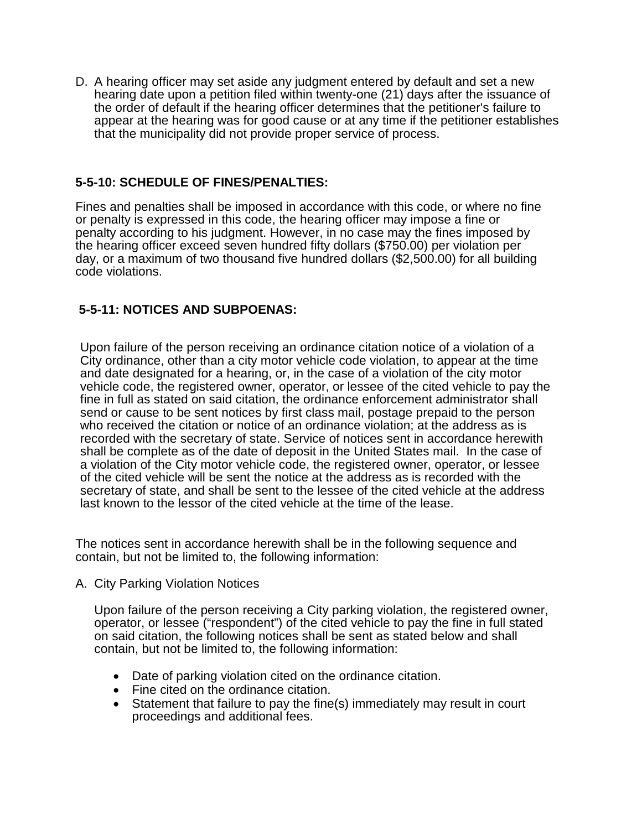D. A hearing officer may set aside any judgment entered by default and set a new hearing date upon a petition filed within twenty-one (21) days after the issuance of the order of default if the hearing officer determines that the petitioner's failure to appear at the hearing was for good cause or at any time if the petitioner establishes that the municipality did not provide proper service of process.

#### **5-5-10: SCHEDULE OF FINES/PENALTIES:**

Fines and penalties shall be imposed in accordance with this code, or where no fine or penalty is expressed in this code, the hearing officer may impose a fine or penalty according to his judgment. However, in no case may the fines imposed by the hearing officer exceed seven hundred fifty dollars (\$750.00) per violation per day, or a maximum of two thousand five hundred dollars (\$2,500.00) for all building code violations.

#### **5-5-11: NOTICES AND SUBPOENAS:**

Upon failure of the person receiving an ordinance citation notice of a violation of a City ordinance, other than a city motor vehicle code violation, to appear at the time and date designated for a hearing, or, in the case of a violation of the city motor vehicle code, the registered owner, operator, or lessee of the cited vehicle to pay the fine in full as stated on said citation, the ordinance enforcement administrator shall send or cause to be sent notices by first class mail, postage prepaid to the person who received the citation or notice of an ordinance violation; at the address as is recorded with the secretary of state. Service of notices sent in accordance herewith shall be complete as of the date of deposit in the United States mail. In the case of a violation of the City motor vehicle code, the registered owner, operator, or lessee of the cited vehicle will be sent the notice at the address as is recorded with the secretary of state, and shall be sent to the lessee of the cited vehicle at the address last known to the lessor of the cited vehicle at the time of the lease.

The notices sent in accordance herewith shall be in the following sequence and contain, but not be limited to, the following information:

A. City Parking Violation Notices

Upon failure of the person receiving a City parking violation, the registered owner, operator, or lessee ("respondent") of the cited vehicle to pay the fine in full stated on said citation, the following notices shall be sent as stated below and shall contain, but not be limited to, the following information:

- Date of parking violation cited on the ordinance citation.
- Fine cited on the ordinance citation.
- Statement that failure to pay the fine(s) immediately may result in court proceedings and additional fees.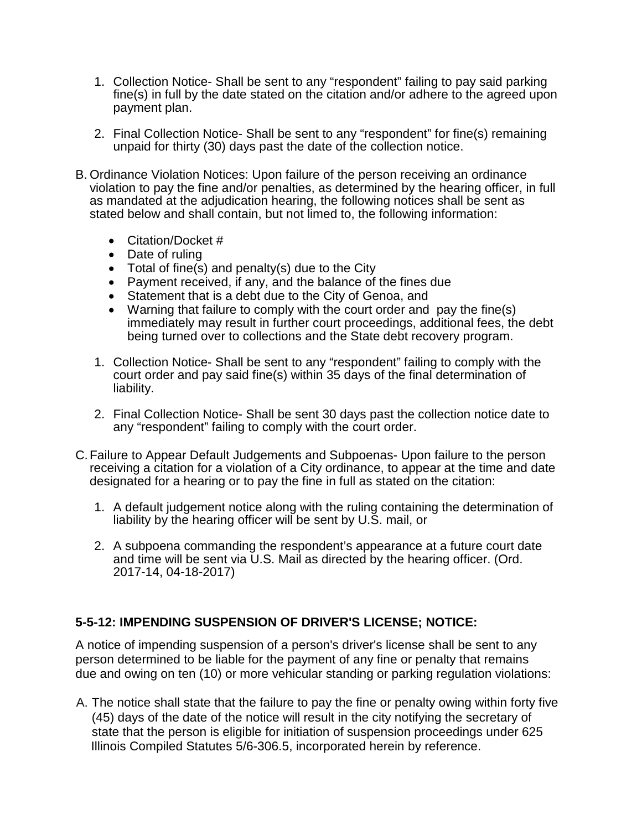- 1. Collection Notice- Shall be sent to any "respondent" failing to pay said parking fine(s) in full by the date stated on the citation and/or adhere to the agreed upon payment plan.
- 2. Final Collection Notice- Shall be sent to any "respondent" for fine(s) remaining unpaid for thirty (30) days past the date of the collection notice.
- B. Ordinance Violation Notices: Upon failure of the person receiving an ordinance violation to pay the fine and/or penalties, as determined by the hearing officer, in full as mandated at the adjudication hearing, the following notices shall be sent as stated below and shall contain, but not limed to, the following information:
	- Citation/Docket #
	- Date of ruling
	- Total of fine(s) and penalty(s) due to the City
	- Payment received, if any, and the balance of the fines due
	- Statement that is a debt due to the City of Genoa, and
	- Warning that failure to comply with the court order and pay the fine(s) immediately may result in further court proceedings, additional fees, the debt being turned over to collections and the State debt recovery program.
	- 1. Collection Notice- Shall be sent to any "respondent" failing to comply with the court order and pay said fine(s) within 35 days of the final determination of liability.
	- 2. Final Collection Notice- Shall be sent 30 days past the collection notice date to any "respondent" failing to comply with the court order.
- C.Failure to Appear Default Judgements and Subpoenas- Upon failure to the person receiving a citation for a violation of a City ordinance, to appear at the time and date designated for a hearing or to pay the fine in full as stated on the citation:
	- 1. A default judgement notice along with the ruling containing the determination of liability by the hearing officer will be sent by U.S. mail, or
	- 2. A subpoena commanding the respondent's appearance at a future court date and time will be sent via U.S. Mail as directed by the hearing officer. (Ord. 2017-14, 04-18-2017)

#### **5-5-12: IMPENDING SUSPENSION OF DRIVER'S LICENSE; NOTICE:**

A notice of impending suspension of a person's driver's license shall be sent to any person determined to be liable for the payment of any fine or penalty that remains due and owing on ten (10) or more vehicular standing or parking regulation violations:

A. The notice shall state that the failure to pay the fine or penalty owing within forty five (45) days of the date of the notice will result in the city notifying the secretary of state that the person is eligible for initiation of suspension proceedings under 625 Illinois Compiled Statutes 5/6-306.5, incorporated herein by reference.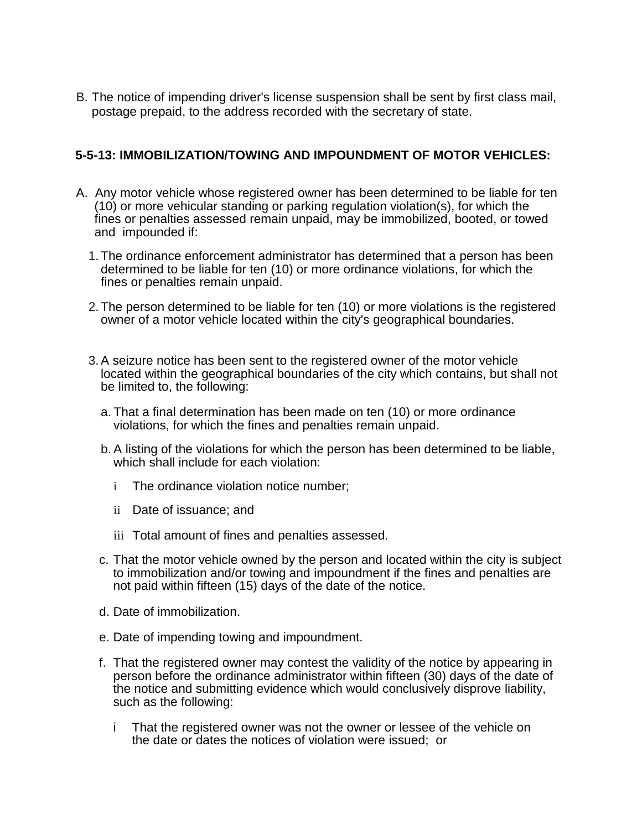B. The notice of impending driver's license suspension shall be sent by first class mail, postage prepaid, to the address recorded with the secretary of state.

#### **5-5-13: IMMOBILIZATION/TOWING AND IMPOUNDMENT OF MOTOR VEHICLES:**

- A. Any motor vehicle whose registered owner has been determined to be liable for ten (10) or more vehicular standing or parking regulation violation(s), for which the fines or penalties assessed remain unpaid, may be immobilized, booted, or towed and impounded if:
	- 1.The ordinance enforcement administrator has determined that a person has been determined to be liable for ten (10) or more ordinance violations, for which the fines or penalties remain unpaid.
	- 2.The person determined to be liable for ten (10) or more violations is the registered owner of a motor vehicle located within the city's geographical boundaries.
	- 3.A seizure notice has been sent to the registered owner of the motor vehicle located within the geographical boundaries of the city which contains, but shall not be limited to, the following:
		- a. That a final determination has been made on ten (10) or more ordinance violations, for which the fines and penalties remain unpaid.
		- b. A listing of the violations for which the person has been determined to be liable, which shall include for each violation:
			- i The ordinance violation notice number;
			- ii Date of issuance; and
			- iii Total amount of fines and penalties assessed.
		- c. That the motor vehicle owned by the person and located within the city is subject to immobilization and/or towing and impoundment if the fines and penalties are not paid within fifteen (15) days of the date of the notice.
		- d. Date of immobilization.
		- e. Date of impending towing and impoundment.
		- f. That the registered owner may contest the validity of the notice by appearing in person before the ordinance administrator within fifteen (30) days of the date of the notice and submitting evidence which would conclusively disprove liability, such as the following:
			- i That the registered owner was not the owner or lessee of the vehicle on the date or dates the notices of violation were issued; or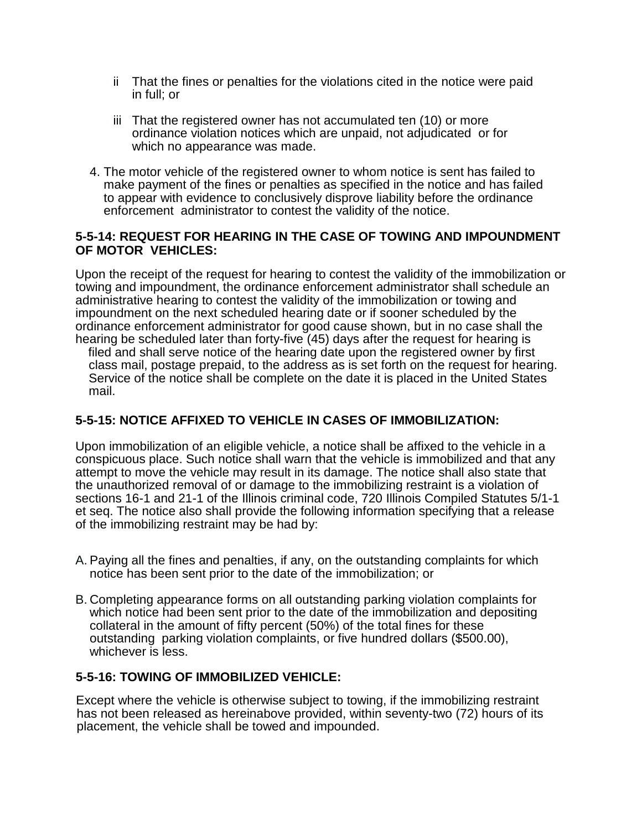- ii That the fines or penalties for the violations cited in the notice were paid in full; or
- iii That the registered owner has not accumulated ten (10) or more ordinance violation notices which are unpaid, not adjudicated or for which no appearance was made.
- 4. The motor vehicle of the registered owner to whom notice is sent has failed to make payment of the fines or penalties as specified in the notice and has failed to appear with evidence to conclusively disprove liability before the ordinance enforcement administrator to contest the validity of the notice.

#### **5-5-14: REQUEST FOR HEARING IN THE CASE OF TOWING AND IMPOUNDMENT OF MOTOR VEHICLES:**

Upon the receipt of the request for hearing to contest the validity of the immobilization or towing and impoundment, the ordinance enforcement administrator shall schedule an administrative hearing to contest the validity of the immobilization or towing and impoundment on the next scheduled hearing date or if sooner scheduled by the ordinance enforcement administrator for good cause shown, but in no case shall the hearing be scheduled later than forty-five (45) days after the request for hearing is filed and shall serve notice of the hearing date upon the registered owner by first class mail, postage prepaid, to the address as is set forth on the request for hearing. Service of the notice shall be complete on the date it is placed in the United States mail.

#### **5-5-15: NOTICE AFFIXED TO VEHICLE IN CASES OF IMMOBILIZATION:**

Upon immobilization of an eligible vehicle, a notice shall be affixed to the vehicle in a conspicuous place. Such notice shall warn that the vehicle is immobilized and that any attempt to move the vehicle may result in its damage. The notice shall also state that the unauthorized removal of or damage to the immobilizing restraint is a violation of sections 16-1 and 21-1 of the Illinois criminal code, 720 Illinois Compiled Statutes 5/1-1 et seq. The notice also shall provide the following information specifying that a release of the immobilizing restraint may be had by:

- A. Paying all the fines and penalties, if any, on the outstanding complaints for which notice has been sent prior to the date of the immobilization; or
- B. Completing appearance forms on all outstanding parking violation complaints for which notice had been sent prior to the date of the immobilization and depositing collateral in the amount of fifty percent (50%) of the total fines for these outstanding parking violation complaints, or five hundred dollars (\$500.00), whichever is less.

#### **5-5-16: TOWING OF IMMOBILIZED VEHICLE:**

Except where the vehicle is otherwise subject to towing, if the immobilizing restraint has not been released as hereinabove provided, within seventy-two (72) hours of its placement, the vehicle shall be towed and impounded.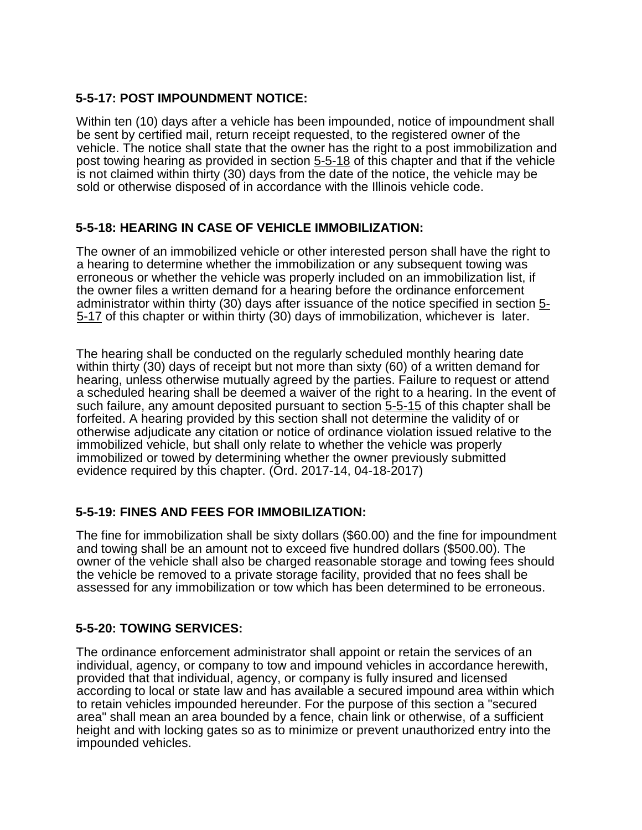#### **5-5-17: POST IMPOUNDMENT NOTICE:**

Within ten (10) days after a vehicle has been impounded, notice of impoundment shall be sent by certified mail, return receipt requested, to the registered owner of the vehicle. The notice shall state that the owner has the right to a post immobilization and post towing hearing as provided in section 5-5-18 of this chapter and that if the vehicle is not claimed within thirty (30) days from the date of the notice, the vehicle may be sold or otherwise disposed of in accordance with the Illinois vehicle code.

#### **5-5-18: HEARING IN CASE OF VEHICLE IMMOBILIZATION:**

The owner of an immobilized vehicle or other interested person shall have the right to a hearing to determine whether the immobilization or any subsequent towing was erroneous or whether the vehicle was properly included on an immobilization list, if the owner files a written demand for a hearing before the ordinance enforcement administrator within thirty (30) days after issuance of the notice specified in section 5-5-17 of this chapter or within thirty (30) days of immobilization, whichever is later.

The hearing shall be conducted on the regularly scheduled monthly hearing date within thirty (30) days of receipt but not more than sixty (60) of a written demand for hearing, unless otherwise mutually agreed by the parties. Failure to request or attend a scheduled hearing shall be deemed a waiver of the right to a hearing. In the event of such failure, any amount deposited pursuant to section 5-5-15 of this chapter shall be forfeited. A hearing provided by this section shall not determine the validity of or otherwise adjudicate any citation or notice of ordinance violation issued relative to the immobilized vehicle, but shall only relate to whether the vehicle was properly immobilized or towed by determining whether the owner previously submitted evidence required by this chapter. (Ord. 2017-14, 04-18-2017)

#### **5-5-19: FINES AND FEES FOR IMMOBILIZATION:**

The fine for immobilization shall be sixty dollars (\$60.00) and the fine for impoundment and towing shall be an amount not to exceed five hundred dollars (\$500.00). The owner of the vehicle shall also be charged reasonable storage and towing fees should the vehicle be removed to a private storage facility, provided that no fees shall be assessed for any immobilization or tow which has been determined to be erroneous.

#### **5-5-20: TOWING SERVICES:**

The ordinance enforcement administrator shall appoint or retain the services of an individual, agency, or company to tow and impound vehicles in accordance herewith, provided that that individual, agency, or company is fully insured and licensed according to local or state law and has available a secured impound area within which to retain vehicles impounded hereunder. For the purpose of this section a "secured area" shall mean an area bounded by a fence, chain link or otherwise, of a sufficient height and with locking gates so as to minimize or prevent unauthorized entry into the impounded vehicles.